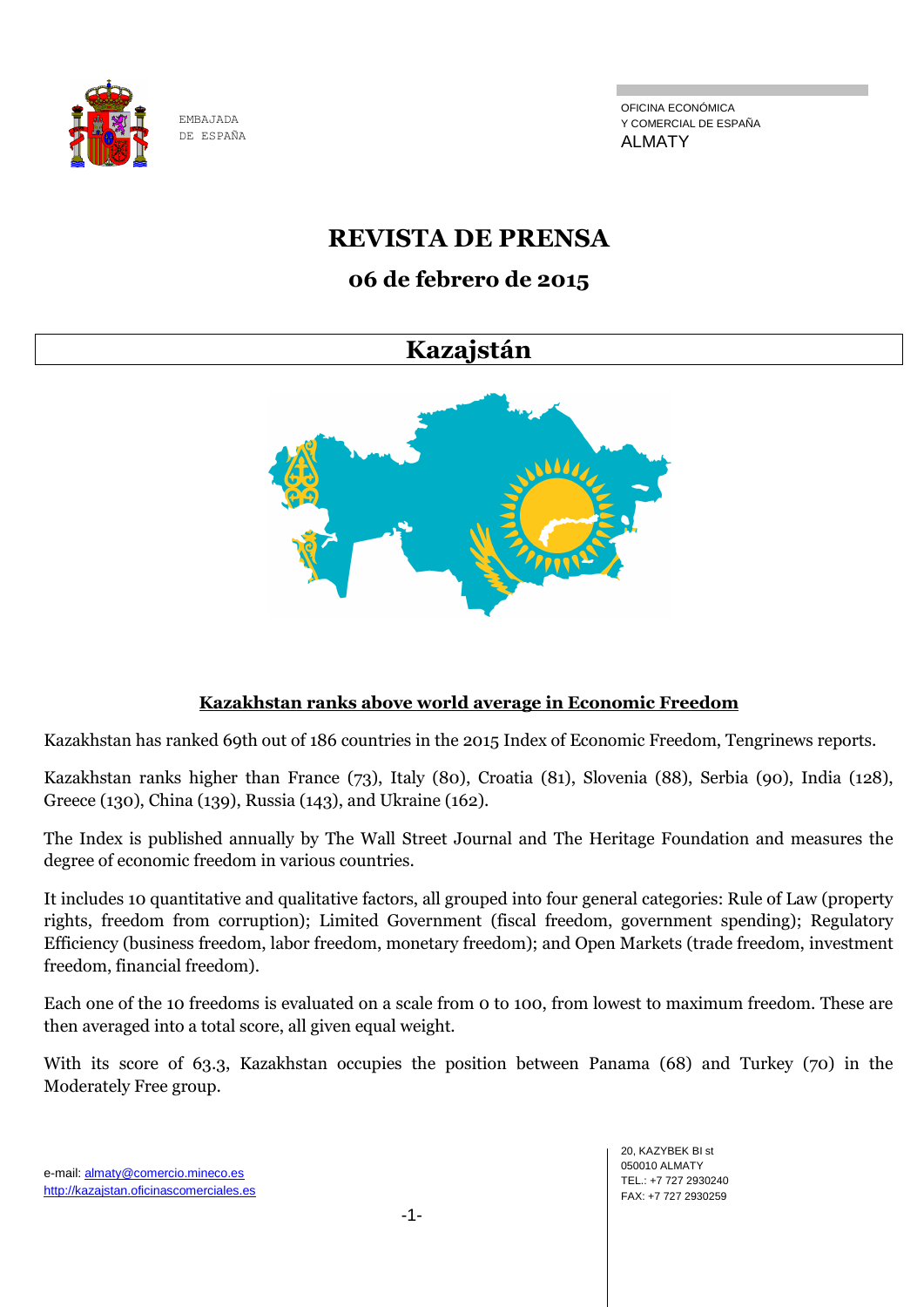

OFICINA ECONÓMICA Y COMERCIAL DE ESPAÑA ALMATY

# **REVISTA DE PRENSA**

# **06 de febrero de 2015**

# **Kazajstán**



# **Kazakhstan ranks above world average in Economic Freedom**

Kazakhstan has ranked 69th out of 186 countries in the 2015 Index of Economic Freedom, Tengrinews reports.

Kazakhstan ranks higher than France (73), Italy (80), Croatia (81), Slovenia (88), Serbia (90), India (128), Greece (130), China (139), Russia (143), and Ukraine (162).

The Index is published annually by The Wall Street Journal and The Heritage Foundation and measures the degree of economic freedom in various countries.

It includes 10 quantitative and qualitative factors, all grouped into four general categories: Rule of Law (property rights, freedom from corruption); Limited Government (fiscal freedom, government spending); Regulatory Efficiency (business freedom, labor freedom, monetary freedom); and Open Markets (trade freedom, investment freedom, financial freedom).

Each one of the 10 freedoms is evaluated on a scale from 0 to 100, from lowest to maximum freedom. These are then averaged into a total score, all given equal weight.

With its score of 63.3, Kazakhstan occupies the position between Panama (68) and Turkey (70) in the Moderately Free group.

e-mail: almaty@comercio.mineco.es http://kazajstan.oficinascomerciales.es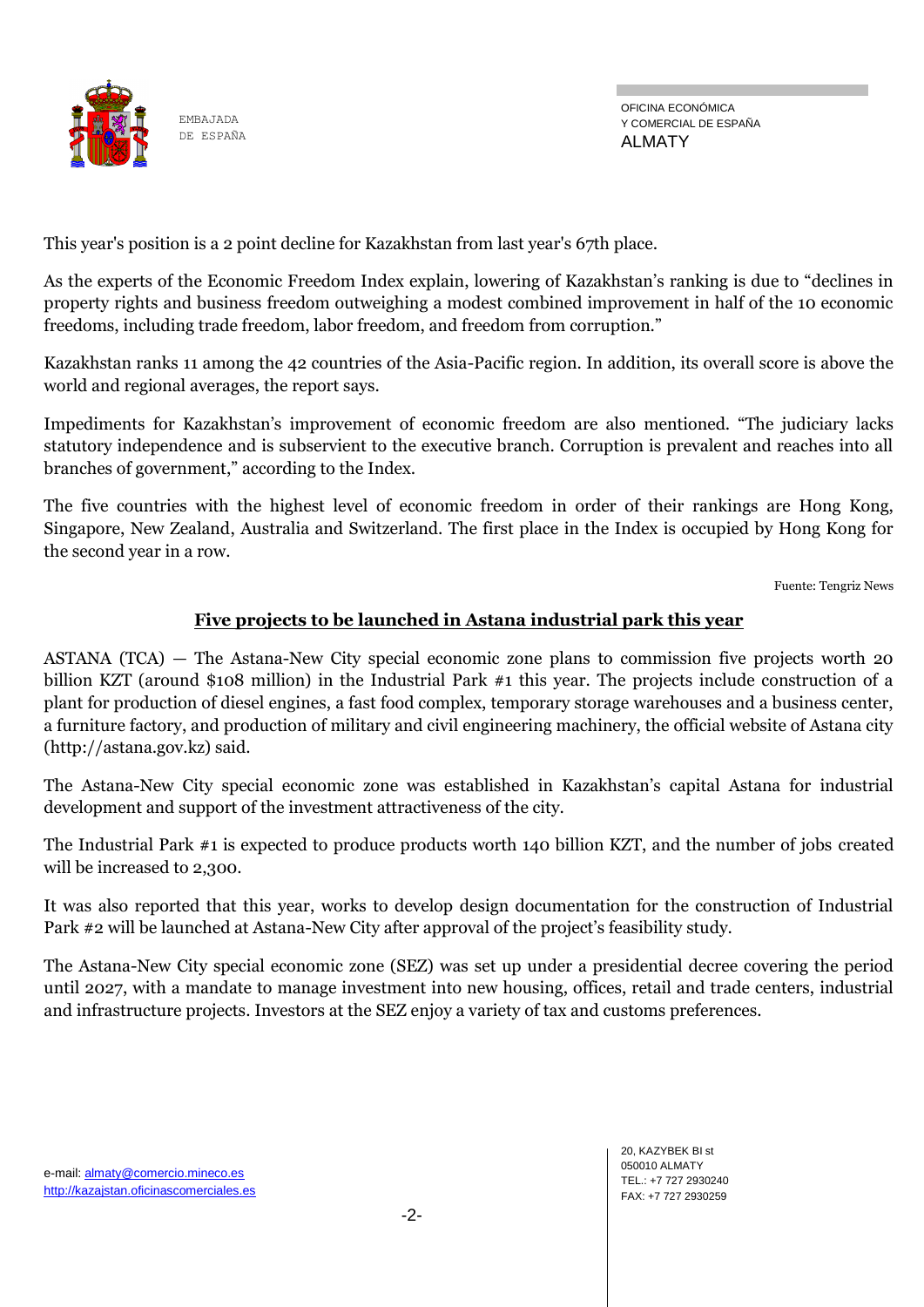

This year's position is a 2 point decline for Kazakhstan from last year's 67th place.

As the experts of the Economic Freedom Index explain, lowering of Kazakhstan's ranking is due to "declines in property rights and business freedom outweighing a modest combined improvement in half of the 10 economic freedoms, including trade freedom, labor freedom, and freedom from corruption."

Kazakhstan ranks 11 among the 42 countries of the Asia-Pacific region. In addition, its overall score is above the world and regional averages, the report says.

Impediments for Kazakhstan's improvement of economic freedom are also mentioned. "The judiciary lacks statutory independence and is subservient to the executive branch. Corruption is prevalent and reaches into all branches of government," according to the Index.

The five countries with the highest level of economic freedom in order of their rankings are Hong Kong, Singapore, New Zealand, Australia and Switzerland. The first place in the Index is occupied by Hong Kong for the second year in a row.

Fuente: Tengriz News

#### **Five projects to be launched in Astana industrial park this year**

ASTANA (TCA) — The Astana-New City special economic zone plans to commission five projects worth 20 billion KZT (around \$108 million) in the Industrial Park #1 this year. The projects include construction of a plant for production of diesel engines, a fast food complex, temporary storage warehouses and a business center, a furniture factory, and production of military and civil engineering machinery, the official website of Astana city (http://astana.gov.kz) said.

The Astana-New City special economic zone was established in Kazakhstan's capital Astana for industrial development and support of the investment attractiveness of the city.

The Industrial Park #1 is expected to produce products worth 140 billion KZT, and the number of jobs created will be increased to 2,300.

It was also reported that this year, works to develop design documentation for the construction of Industrial Park #2 will be launched at Astana-New City after approval of the project's feasibility study.

The Astana-New City special economic zone (SEZ) was set up under a presidential decree covering the period until 2027, with a mandate to manage investment into new housing, offices, retail and trade centers, industrial and infrastructure projects. Investors at the SEZ enjoy a variety of tax and customs preferences.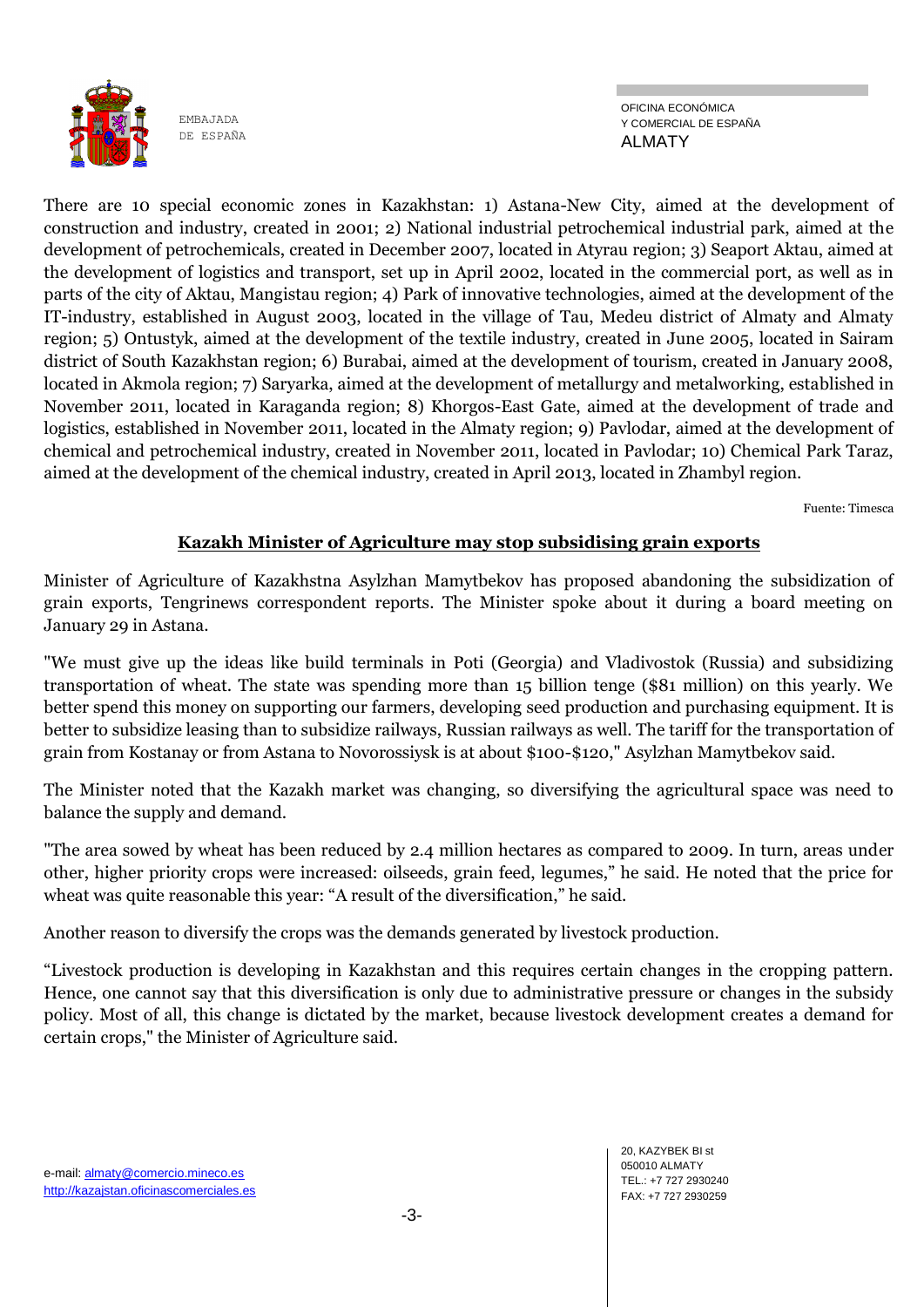

OFICINA ECONÓMICA Y COMERCIAL DE ESPAÑA ALMATY

There are 10 special economic zones in Kazakhstan: 1) Astana-New City, aimed at the development of construction and industry, created in 2001; 2) National industrial petrochemical industrial park, aimed at the development of petrochemicals, created in December 2007, located in Atyrau region; 3) Seaport Aktau, aimed at the development of logistics and transport, set up in April 2002, located in the commercial port, as well as in parts of the city of Aktau, Mangistau region; 4) Park of innovative technologies, aimed at the development of the IT-industry, established in August 2003, located in the village of Tau, Medeu district of Almaty and Almaty region; 5) Ontustyk, aimed at the development of the textile industry, created in June 2005, located in Sairam district of South Kazakhstan region; 6) Burabai, aimed at the development of tourism, created in January 2008, located in Akmola region; 7) Saryarka, aimed at the development of metallurgy and metalworking, established in November 2011, located in Karaganda region; 8) Khorgos-East Gate, aimed at the development of trade and logistics, established in November 2011, located in the Almaty region; 9) Pavlodar, aimed at the development of chemical and petrochemical industry, created in November 2011, located in Pavlodar; 10) Chemical Park Taraz, aimed at the development of the chemical industry, created in April 2013, located in Zhambyl region.

Fuente: Timesca

# **Kazakh Minister of Agriculture may stop subsidising grain exports**

Minister of Agriculture of Kazakhstna Asylzhan Mamytbekov has proposed abandoning the subsidization of grain exports, Tengrinews correspondent reports. The Minister spoke about it during a board meeting on January 29 in Astana.

"We must give up the ideas like build terminals in Poti (Georgia) and Vladivostok (Russia) and subsidizing transportation of wheat. The state was spending more than 15 billion tenge (\$81 million) on this yearly. We better spend this money on supporting our farmers, developing seed production and purchasing equipment. It is better to subsidize leasing than to subsidize railways, Russian railways as well. The tariff for the transportation of grain from Kostanay or from Astana to Novorossiysk is at about \$100-\$120," Asylzhan Mamytbekov said.

The Minister noted that the Kazakh market was changing, so diversifying the agricultural space was need to balance the supply and demand.

"The area sowed by wheat has been reduced by 2.4 million hectares as compared to 2009. In turn, areas under other, higher priority crops were increased: oilseeds, grain feed, legumes," he said. He noted that the price for wheat was quite reasonable this year: "A result of the diversification," he said.

Another reason to diversify the crops was the demands generated by livestock production.

"Livestock production is developing in Kazakhstan and this requires certain changes in the cropping pattern. Hence, one cannot say that this diversification is only due to administrative pressure or changes in the subsidy policy. Most of all, this change is dictated by the market, because livestock development creates a demand for certain crops," the Minister of Agriculture said.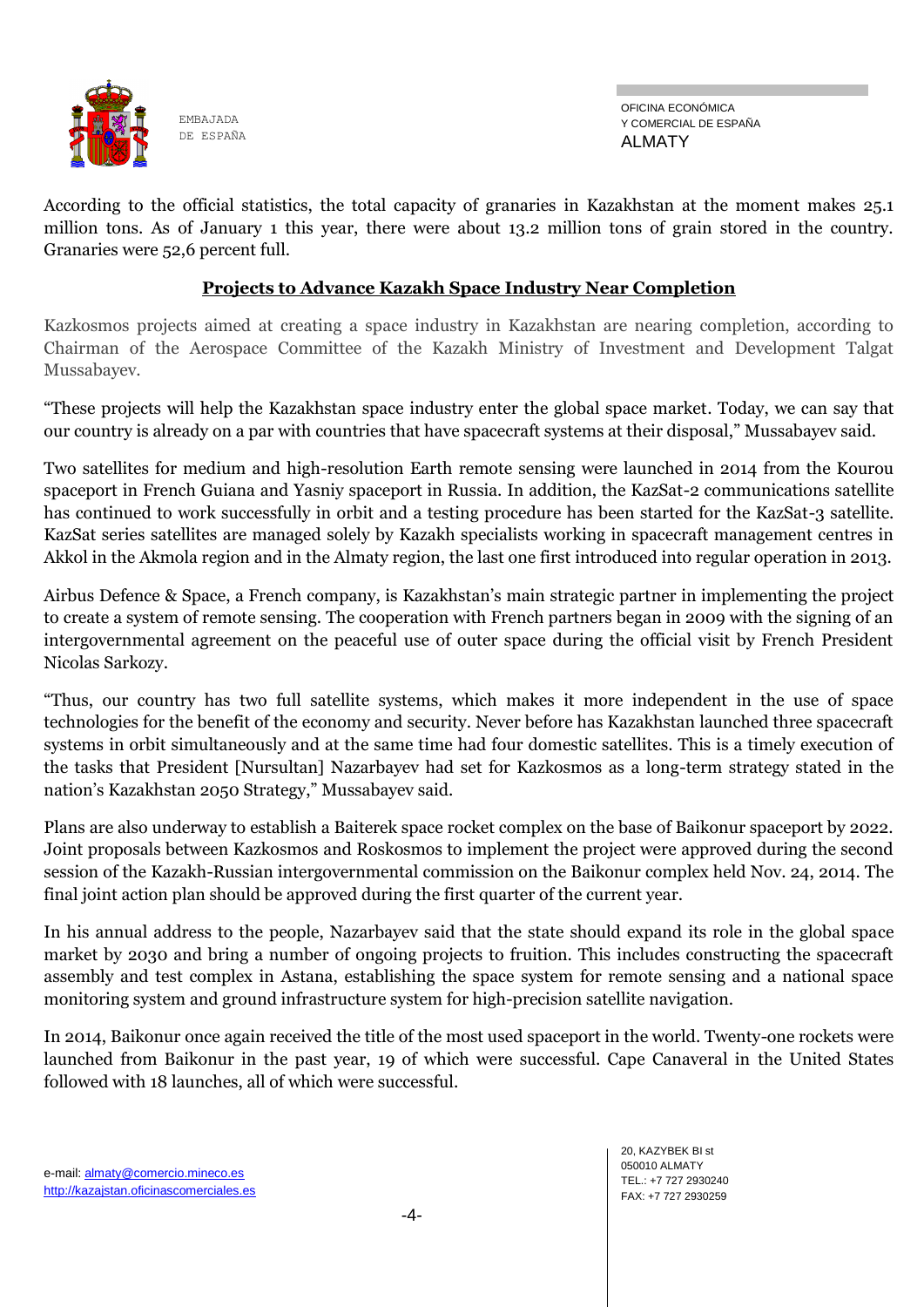

OFICINA ECONÓMICA Y COMERCIAL DE ESPAÑA ALMATY

According to the official statistics, the total capacity of granaries in Kazakhstan at the moment makes 25.1 million tons. As of January 1 this year, there were about 13.2 million tons of grain stored in the country. Granaries were 52,6 percent full.

## **Projects to Advance Kazakh Space Industry Near Completion**

Kazkosmos projects aimed at creating a space industry in Kazakhstan are nearing completion, according to Chairman of the Aerospace Committee of the Kazakh Ministry of Investment and Development Talgat Mussabayev.

"These projects will help the Kazakhstan space industry enter the global space market. Today, we can say that our country is already on a par with countries that have spacecraft systems at their disposal," Mussabayev said.

Two satellites for medium and high-resolution Earth remote sensing were launched in 2014 from the Kourou spaceport in French Guiana and Yasniy spaceport in Russia. In addition, the KazSat-2 communications satellite has continued to work successfully in orbit and a testing procedure has been started for the KazSat-3 satellite. KazSat series satellites are managed solely by Kazakh specialists working in spacecraft management centres in Akkol in the Akmola region and in the Almaty region, the last one first introduced into regular operation in 2013.

Airbus Defence & Space, a French company, is Kazakhstan's main strategic partner in implementing the project to create a system of remote sensing. The cooperation with French partners began in 2009 with the signing of an intergovernmental agreement on the peaceful use of outer space during the official visit by French President Nicolas Sarkozy.

"Thus, our country has two full satellite systems, which makes it more independent in the use of space technologies for the benefit of the economy and security. Never before has Kazakhstan launched three spacecraft systems in orbit simultaneously and at the same time had four domestic satellites. This is a timely execution of the tasks that President [Nursultan] Nazarbayev had set for Kazkosmos as a long-term strategy stated in the nation's Kazakhstan 2050 Strategy," Mussabayev said.

Plans are also underway to establish a Baiterek space rocket complex on the base of Baikonur spaceport by 2022. Joint proposals between Kazkosmos and Roskosmos to implement the project were approved during the second session of the Kazakh-Russian intergovernmental commission on the Baikonur complex held Nov. 24, 2014. The final joint action plan should be approved during the first quarter of the current year.

In his annual address to the people, Nazarbayev said that the state should expand its role in the global space market by 2030 and bring a number of ongoing projects to fruition. This includes constructing the spacecraft assembly and test complex in Astana, establishing the space system for remote sensing and a national space monitoring system and ground infrastructure system for high-precision satellite navigation.

In 2014, Baikonur once again received the title of the most used spaceport in the world. Twenty-one rockets were launched from Baikonur in the past year, 19 of which were successful. Cape Canaveral in the United States followed with 18 launches, all of which were successful.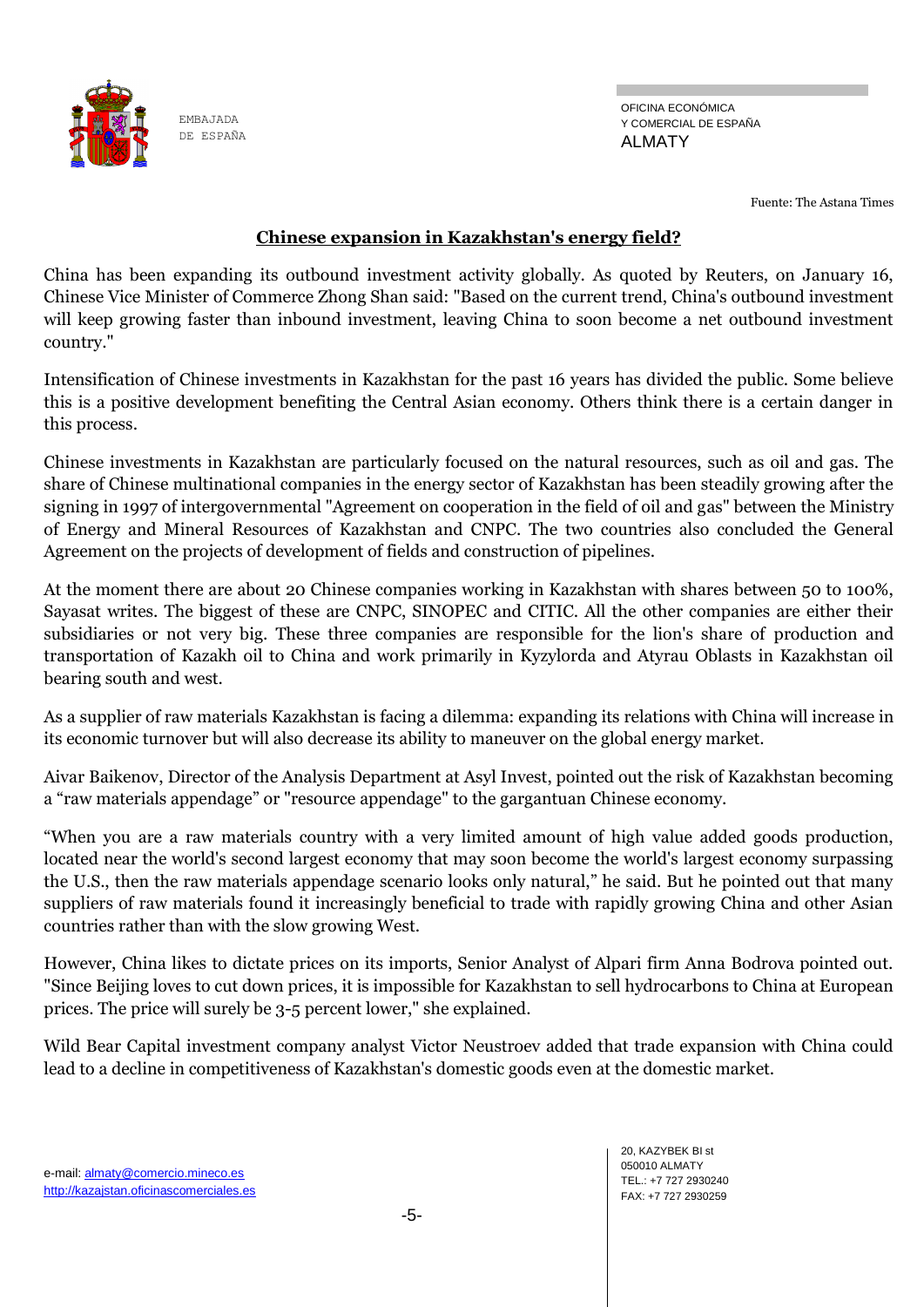

Fuente: The Astana Times

## **Chinese expansion in Kazakhstan's energy field?**

China has been expanding its outbound investment activity globally. As quoted by Reuters, on January 16, Chinese Vice Minister of Commerce Zhong Shan said: "Based on the current trend, China's outbound investment will keep growing faster than inbound investment, leaving China to soon become a net outbound investment country."

Intensification of Chinese investments in Kazakhstan for the past 16 years has divided the public. Some believe this is a positive development benefiting the Central Asian economy. Others think there is a certain danger in this process.

Chinese investments in Kazakhstan are particularly focused on the natural resources, such as oil and gas. The share of Chinese multinational companies in the energy sector of Kazakhstan has been steadily growing after the signing in 1997 of intergovernmental "Agreement on cooperation in the field of oil and gas" between the Ministry of Energy and Mineral Resources of Kazakhstan and CNPC. The two countries also concluded the General Agreement on the projects of development of fields and construction of pipelines.

At the moment there are about 20 Chinese companies working in Kazakhstan with shares between 50 to 100%, Sayasat writes. The biggest of these are CNPC, SINOPEC and CITIC. All the other companies are either their subsidiaries or not very big. These three companies are responsible for the lion's share of production and transportation of Kazakh oil to China and work primarily in Kyzylorda and Atyrau Oblasts in Kazakhstan oil bearing south and west.

As a supplier of raw materials Kazakhstan is facing a dilemma: expanding its relations with China will increase in its economic turnover but will also decrease its ability to maneuver on the global energy market.

Aivar Baikenov, Director of the Analysis Department at Asyl Invest, pointed out the risk of Kazakhstan becoming a "raw materials appendage" or "resource appendage" to the gargantuan Chinese economy.

"When you are a raw materials country with a very limited amount of high value added goods production, located near the world's second largest economy that may soon become the world's largest economy surpassing the U.S., then the raw materials appendage scenario looks only natural," he said. But he pointed out that many suppliers of raw materials found it increasingly beneficial to trade with rapidly growing China and other Asian countries rather than with the slow growing West.

However, China likes to dictate prices on its imports, Senior Analyst of Alpari firm Anna Bodrova pointed out. "Since Beijing loves to cut down prices, it is impossible for Kazakhstan to sell hydrocarbons to China at European prices. The price will surely be 3-5 percent lower," she explained.

Wild Bear Capital investment company analyst Victor Neustroev added that trade expansion with China could lead to a decline in competitiveness of Kazakhstan's domestic goods even at the domestic market.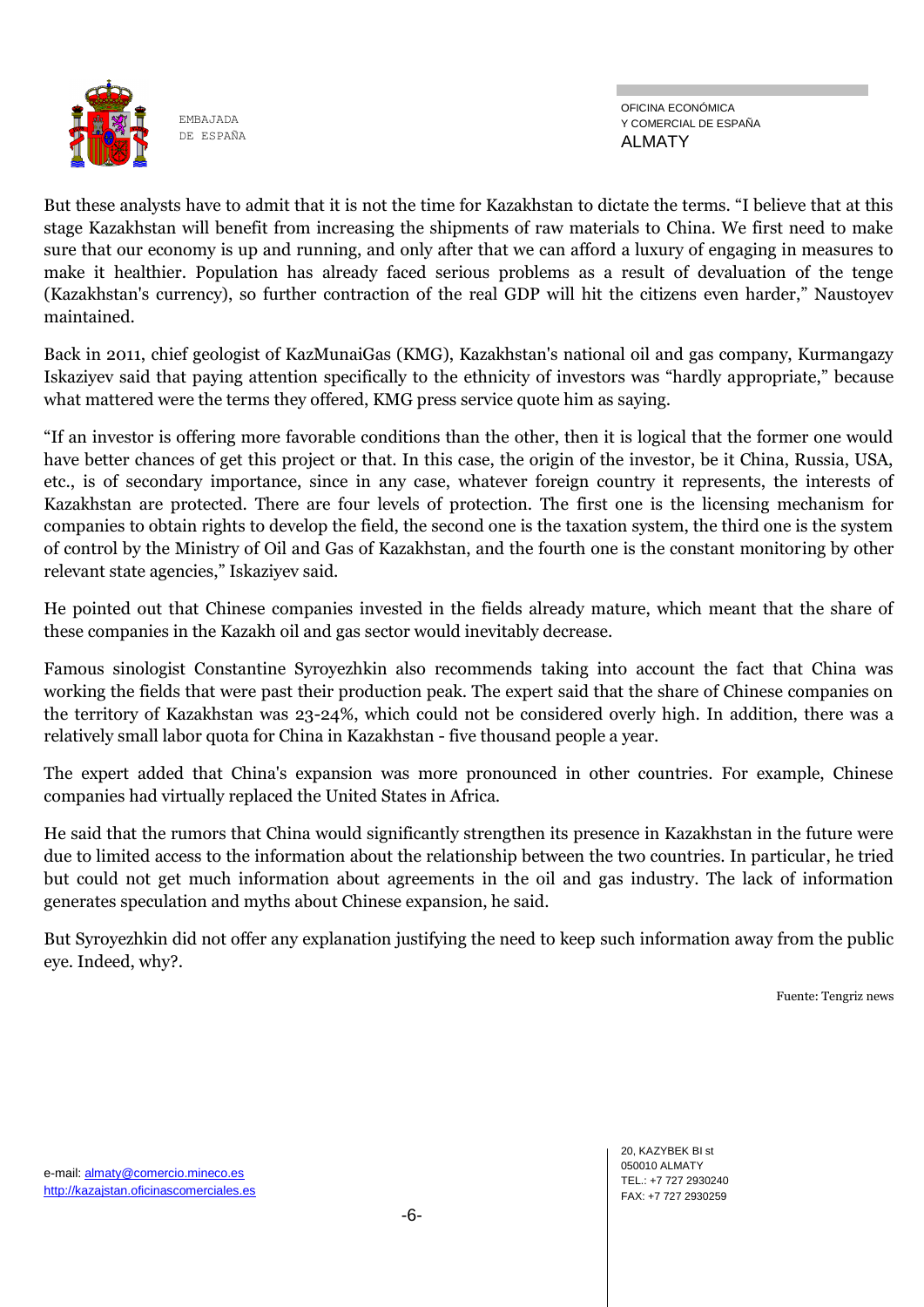

OFICINA ECONÓMICA Y COMERCIAL DE ESPAÑA ALMATY

But these analysts have to admit that it is not the time for Kazakhstan to dictate the terms. "I believe that at this stage Kazakhstan will benefit from increasing the shipments of raw materials to China. We first need to make sure that our economy is up and running, and only after that we can afford a luxury of engaging in measures to make it healthier. Population has already faced serious problems as a result of devaluation of the tenge (Kazakhstan's currency), so further contraction of the real GDP will hit the citizens even harder," Naustoyev maintained.

Back in 2011, chief geologist of KazMunaiGas (KMG), Kazakhstan's national oil and gas company, Kurmangazy Iskaziyev said that paying attention specifically to the ethnicity of investors was "hardly appropriate," because what mattered were the terms they offered, KMG press service quote him as saying.

"If an investor is offering more favorable conditions than the other, then it is logical that the former one would have better chances of get this project or that. In this case, the origin of the investor, be it China, Russia, USA, etc., is of secondary importance, since in any case, whatever foreign country it represents, the interests of Kazakhstan are protected. There are four levels of protection. The first one is the licensing mechanism for companies to obtain rights to develop the field, the second one is the taxation system, the third one is the system of control by the Ministry of Oil and Gas of Kazakhstan, and the fourth one is the constant monitoring by other relevant state agencies," Iskaziyev said.

He pointed out that Chinese companies invested in the fields already mature, which meant that the share of these companies in the Kazakh oil and gas sector would inevitably decrease.

Famous sinologist Constantine Syroyezhkin also recommends taking into account the fact that China was working the fields that were past their production peak. The expert said that the share of Chinese companies on the territory of Kazakhstan was 23-24%, which could not be considered overly high. In addition, there was a relatively small labor quota for China in Kazakhstan - five thousand people a year.

The expert added that China's expansion was more pronounced in other countries. For example, Chinese companies had virtually replaced the United States in Africa.

He said that the rumors that China would significantly strengthen its presence in Kazakhstan in the future were due to limited access to the information about the relationship between the two countries. In particular, he tried but could not get much information about agreements in the oil and gas industry. The lack of information generates speculation and myths about Chinese expansion, he said.

But Syroyezhkin did not offer any explanation justifying the need to keep such information away from the public eye. Indeed, why?.

Fuente: Tengriz news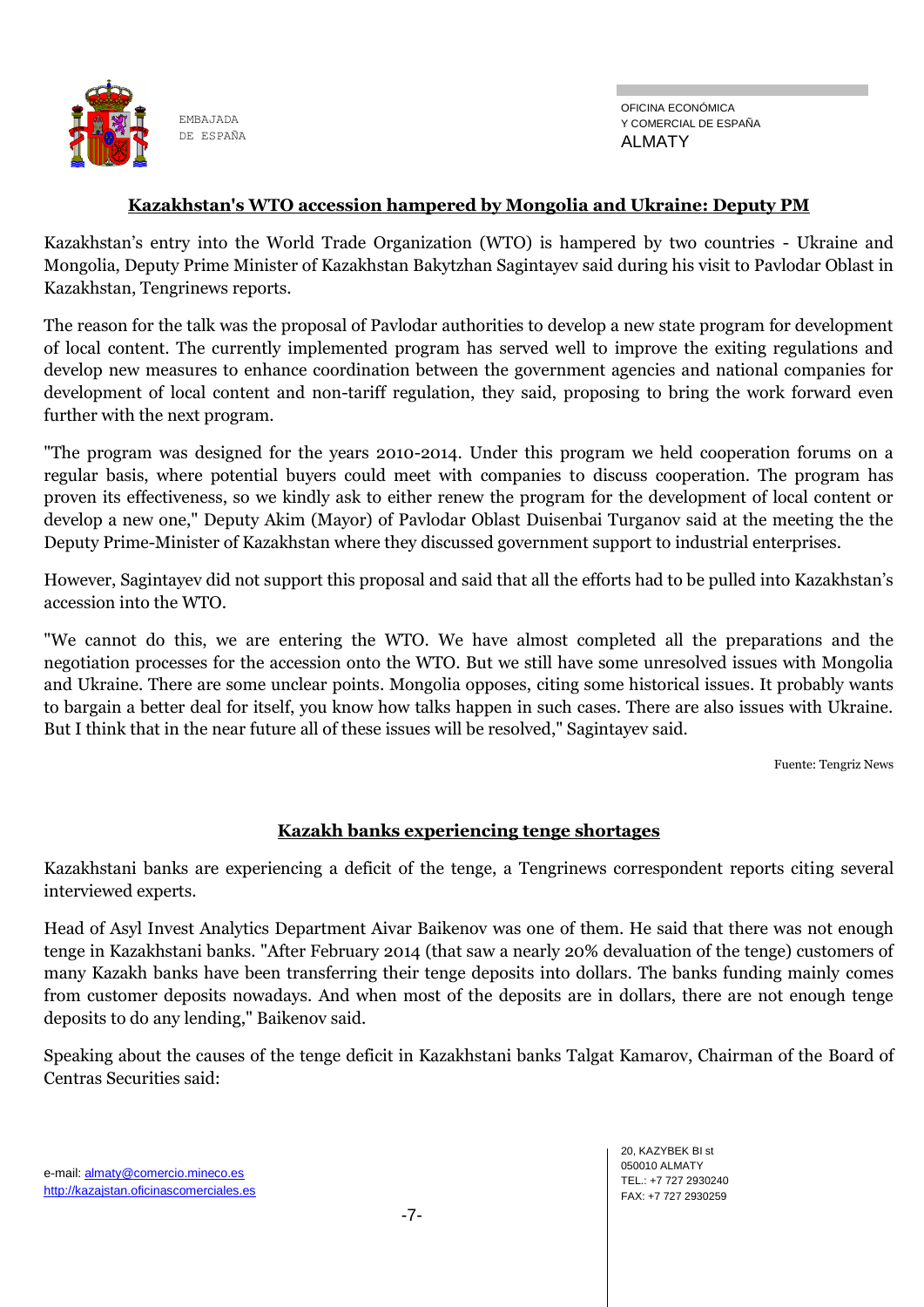

#### **Kazakhstan's WTO accession hampered by Mongolia and Ukraine: Deputy PM**

Kazakhstan's entry into the World Trade Organization (WTO) is hampered by two countries - Ukraine and Mongolia, Deputy Prime Minister of Kazakhstan Bakytzhan Sagintayev said during his visit to Pavlodar Oblast in Kazakhstan, Tengrinews reports.

The reason for the talk was the proposal of Pavlodar authorities to develop a new state program for development of local content. The currently implemented program has served well to improve the exiting regulations and develop new measures to enhance coordination between the government agencies and national companies for development of local content and non-tariff regulation, they said, proposing to bring the work forward even further with the next program.

"The program was designed for the years 2010-2014. Under this program we held cooperation forums on a regular basis, where potential buyers could meet with companies to discuss cooperation. The program has proven its effectiveness, so we kindly ask to either renew the program for the development of local content or develop a new one," Deputy Akim (Mayor) of Pavlodar Oblast Duisenbai Turganov said at the meeting the the Deputy Prime-Minister of Kazakhstan where they discussed government support to industrial enterprises.

However, Sagintayev did not support this proposal and said that all the efforts had to be pulled into Kazakhstan's accession into the WTO.

"We cannot do this, we are entering the WTO. We have almost completed all the preparations and the negotiation processes for the accession onto the WTO. But we still have some unresolved issues with Mongolia and Ukraine. There are some unclear points. Mongolia opposes, citing some historical issues. It probably wants to bargain a better deal for itself, you know how talks happen in such cases. There are also issues with Ukraine. But I think that in the near future all of these issues will be resolved," Sagintayev said.

Fuente: Tengriz News

## **Kazakh banks experiencing tenge shortages**

Kazakhstani banks are experiencing a deficit of the tenge, a Tengrinews correspondent reports citing several interviewed experts.

Head of Asyl Invest Analytics Department Aivar Baikenov was one of them. He said that there was not enough tenge in Kazakhstani banks. "After February 2014 (that saw a nearly 20% devaluation of the tenge) customers of many Kazakh banks have been transferring their tenge deposits into dollars. The banks funding mainly comes from customer deposits nowadays. And when most of the deposits are in dollars, there are not enough tenge deposits to do any lending," Baikenov said.

Speaking about the causes of the tenge deficit in Kazakhstani banks Talgat Kamarov, Chairman of the Board of Centras Securities said: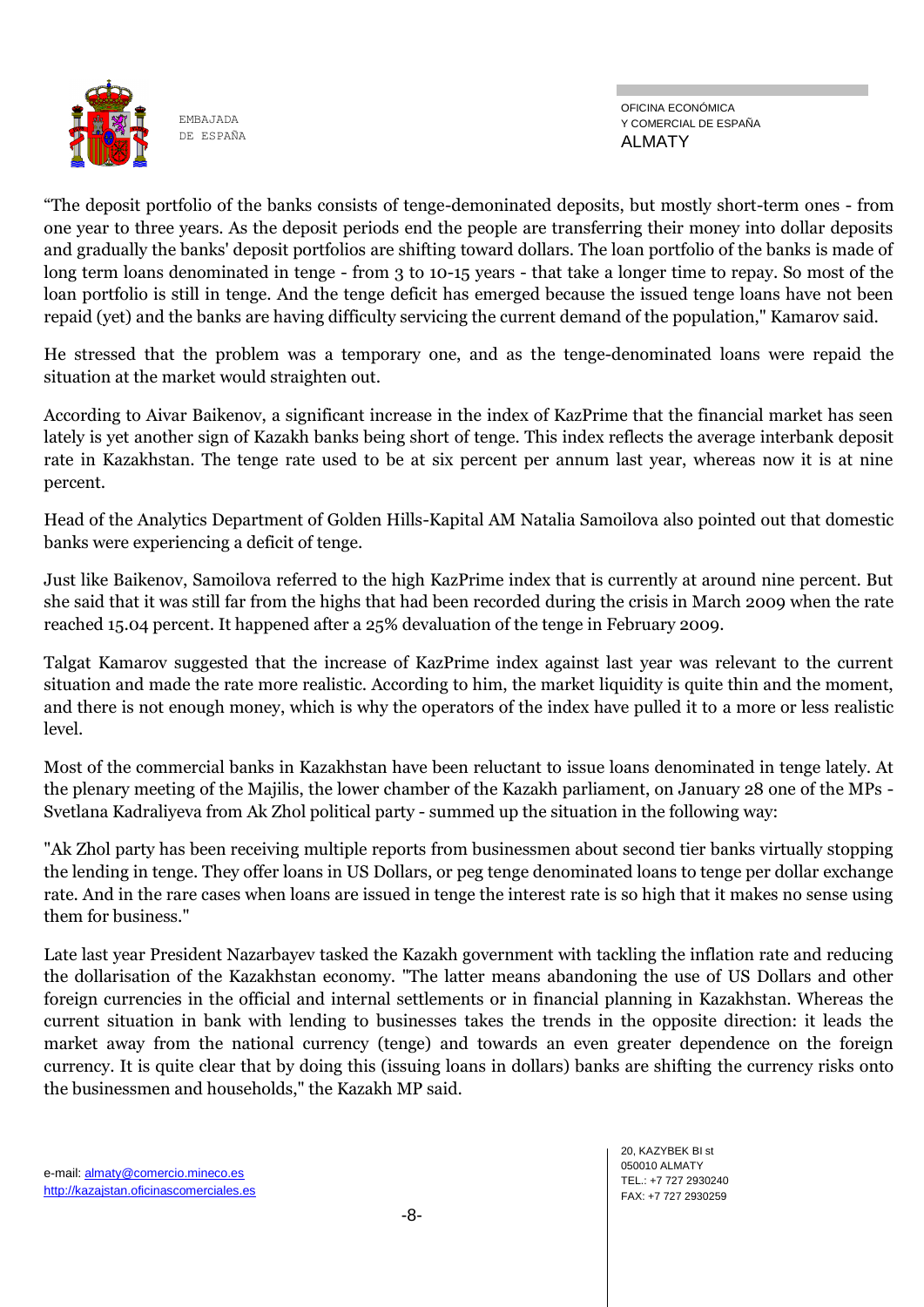

OFICINA ECONÓMICA Y COMERCIAL DE ESPAÑA ALMATY

"The deposit portfolio of the banks consists of tenge-demoninated deposits, but mostly short-term ones - from one year to three years. As the deposit periods end the people are transferring their money into dollar deposits and gradually the banks' deposit portfolios are shifting toward dollars. The loan portfolio of the banks is made of long term loans denominated in tenge - from 3 to 10-15 years - that take a longer time to repay. So most of the loan portfolio is still in tenge. And the tenge deficit has emerged because the issued tenge loans have not been repaid (yet) and the banks are having difficulty servicing the current demand of the population," Kamarov said.

He stressed that the problem was a temporary one, and as the tenge-denominated loans were repaid the situation at the market would straighten out.

According to Aivar Baikenov, a significant increase in the index of KazPrime that the financial market has seen lately is yet another sign of Kazakh banks being short of tenge. This index reflects the average interbank deposit rate in Kazakhstan. The tenge rate used to be at six percent per annum last year, whereas now it is at nine percent.

Head of the Analytics Department of Golden Hills-Kapital AM Natalia Samoilova also pointed out that domestic banks were experiencing a deficit of tenge.

Just like Baikenov, Samoilova referred to the high KazPrime index that is currently at around nine percent. But she said that it was still far from the highs that had been recorded during the crisis in March 2009 when the rate reached 15.04 percent. It happened after a 25% devaluation of the tenge in February 2009.

Talgat Kamarov suggested that the increase of KazPrime index against last year was relevant to the current situation and made the rate more realistic. According to him, the market liquidity is quite thin and the moment, and there is not enough money, which is why the operators of the index have pulled it to a more or less realistic level.

Most of the commercial banks in Kazakhstan have been reluctant to issue loans denominated in tenge lately. At the plenary meeting of the Majilis, the lower chamber of the Kazakh parliament, on January 28 one of the MPs - Svetlana Kadraliyeva from Ak Zhol political party - summed up the situation in the following way:

"Ak Zhol party has been receiving multiple reports from businessmen about second tier banks virtually stopping the lending in tenge. They offer loans in US Dollars, or peg tenge denominated loans to tenge per dollar exchange rate. And in the rare cases when loans are issued in tenge the interest rate is so high that it makes no sense using them for business."

Late last year President Nazarbayev tasked the Kazakh government with tackling the inflation rate and reducing the dollarisation of the Kazakhstan economy. "The latter means abandoning the use of US Dollars and other foreign currencies in the official and internal settlements or in financial planning in Kazakhstan. Whereas the current situation in bank with lending to businesses takes the trends in the opposite direction: it leads the market away from the national currency (tenge) and towards an even greater dependence on the foreign currency. It is quite clear that by doing this (issuing loans in dollars) banks are shifting the currency risks onto the businessmen and households," the Kazakh MP said.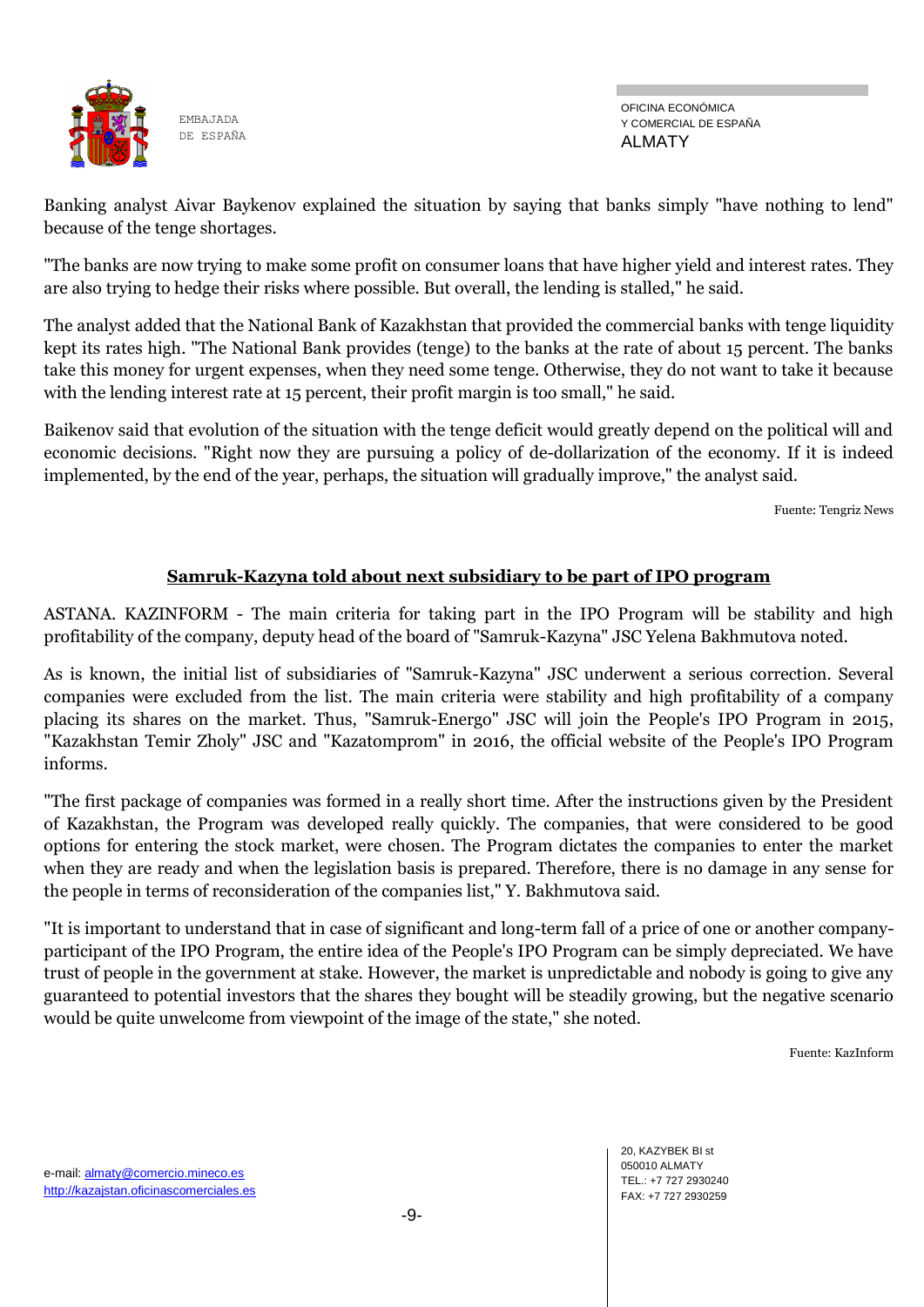

OFICINA ECONÓMICA Y COMERCIAL DE ESPAÑA ALMATY

Banking analyst Aivar Baykenov explained the situation by saying that banks simply "have nothing to lend" because of the tenge shortages.

"The banks are now trying to make some profit on consumer loans that have higher yield and interest rates. They are also trying to hedge their risks where possible. But overall, the lending is stalled," he said.

The analyst added that the National Bank of Kazakhstan that provided the commercial banks with tenge liquidity kept its rates high. "The National Bank provides (tenge) to the banks at the rate of about 15 percent. The banks take this money for urgent expenses, when they need some tenge. Otherwise, they do not want to take it because with the lending interest rate at 15 percent, their profit margin is too small," he said.

Baikenov said that evolution of the situation with the tenge deficit would greatly depend on the political will and economic decisions. "Right now they are pursuing a policy of de-dollarization of the economy. If it is indeed implemented, by the end of the year, perhaps, the situation will gradually improve," the analyst said.

Fuente: Tengriz News

## **Samruk-Kazyna told about next subsidiary to be part of IPO program**

ASTANA. KAZINFORM - The main criteria for taking part in the IPO Program will be stability and high profitability of the company, deputy head of the board of "Samruk-Kazyna" JSC Yelena Bakhmutova noted.

As is known, the initial list of subsidiaries of "Samruk-Kazyna" JSC underwent a serious correction. Several companies were excluded from the list. The main criteria were stability and high profitability of a company placing its shares on the market. Thus, "Samruk-Energo" JSC will join the People's IPO Program in 2015, "Kazakhstan Temir Zholy" JSC and "Kazatomprom" in 2016, the official website of the People's IPO Program informs.

"The first package of companies was formed in a really short time. After the instructions given by the President of Kazakhstan, the Program was developed really quickly. The companies, that were considered to be good options for entering the stock market, were chosen. The Program dictates the companies to enter the market when they are ready and when the legislation basis is prepared. Therefore, there is no damage in any sense for the people in terms of reconsideration of the companies list," Y. Bakhmutova said.

"It is important to understand that in case of significant and long-term fall of a price of one or another companyparticipant of the IPO Program, the entire idea of the People's IPO Program can be simply depreciated. We have trust of people in the government at stake. However, the market is unpredictable and nobody is going to give any guaranteed to potential investors that the shares they bought will be steadily growing, but the negative scenario would be quite unwelcome from viewpoint of the image of the state," she noted.

Fuente: KazInform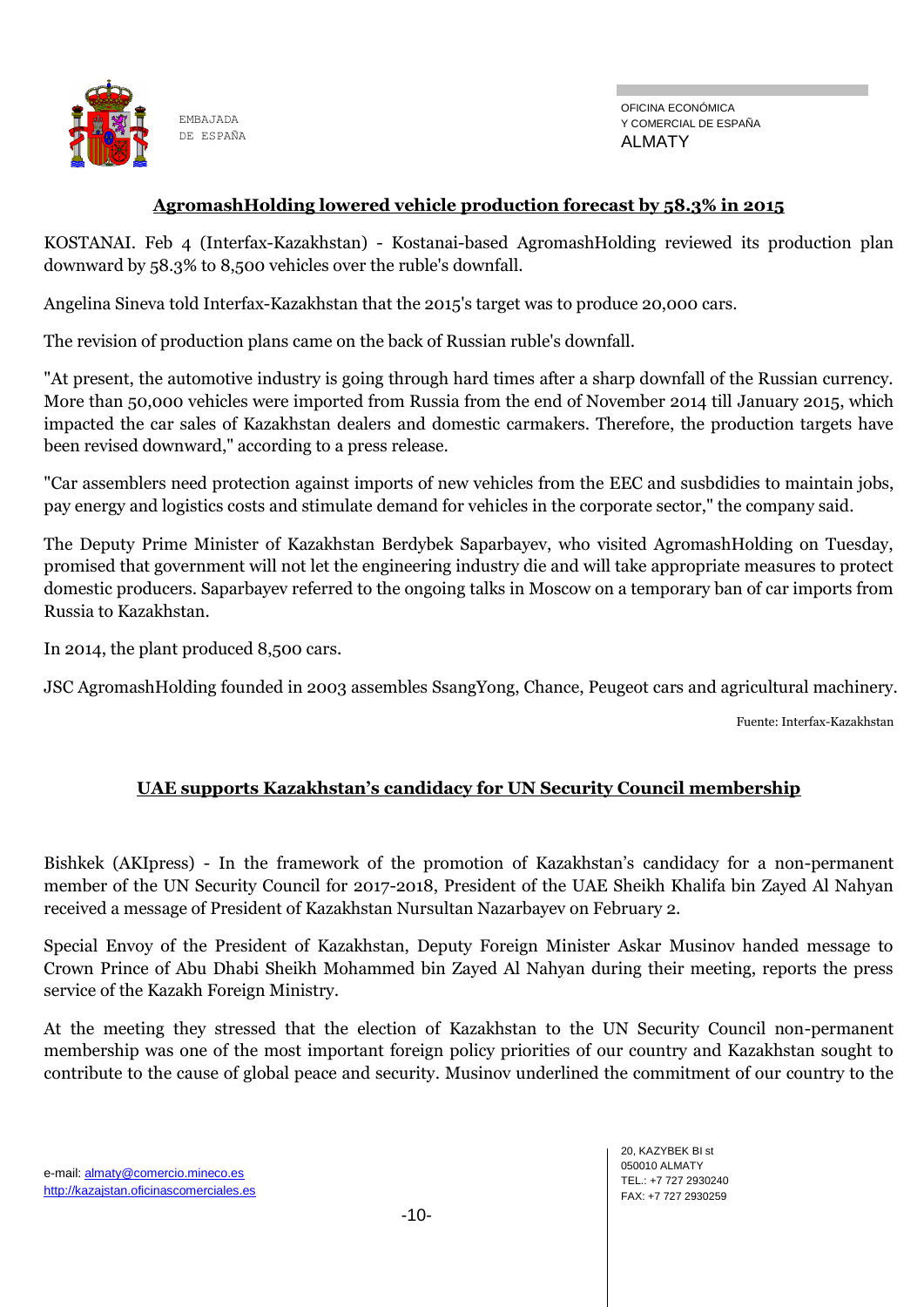

#### **AgromashHolding lowered vehicle production forecast by 58.3% in 2015**

KOSTANAI. Feb 4 (Interfax-Kazakhstan) - Kostanai-based AgromashHolding reviewed its production plan downward by 58.3% to 8,500 vehicles over the ruble's downfall.

Angelina Sineva told Interfax-Kazakhstan that the 2015's target was to produce 20,000 cars.

The revision of production plans came on the back of Russian ruble's downfall.

"At present, the automotive industry is going through hard times after a sharp downfall of the Russian currency. More than 50,000 vehicles were imported from Russia from the end of November 2014 till January 2015, which impacted the car sales of Kazakhstan dealers and domestic carmakers. Therefore, the production targets have been revised downward," according to a press release.

"Car assemblers need protection against imports of new vehicles from the EEC and susbdidies to maintain jobs, pay energy and logistics costs and stimulate demand for vehicles in the corporate sector," the company said.

The Deputy Prime Minister of Kazakhstan Berdybek Saparbayev, who visited AgromashHolding on Tuesday, promised that government will not let the engineering industry die and will take appropriate measures to protect domestic producers. Saparbayev referred to the ongoing talks in Moscow on a temporary ban of car imports from Russia to Kazakhstan.

In 2014, the plant produced 8,500 cars.

JSC AgromashHolding founded in 2003 assembles SsangYong, Chance, Peugeot cars and agricultural machinery.

Fuente: Interfax-Kazakhstan

## **UAE supports Kazakhstan's candidacy for UN Security Council membership**

Bishkek (AKIpress) - In the framework of the promotion of Kazakhstan's candidacy for a non-permanent member of the UN Security Council for 2017-2018, President of the UAE Sheikh Khalifa bin Zayed Al Nahyan received a message of President of Kazakhstan Nursultan Nazarbayev on February 2.

Special Envoy of the President of Kazakhstan, Deputy Foreign Minister Askar Musinov handed message to Crown Prince of Abu Dhabi Sheikh Mohammed bin Zayed Al Nahyan during their meeting, reports the press service of the Kazakh Foreign Ministry.

At the meeting they stressed that the election of Kazakhstan to the UN Security Council non-permanent membership was one of the most important foreign policy priorities of our country and Kazakhstan sought to contribute to the cause of global peace and security. Musinov underlined the commitment of our country to the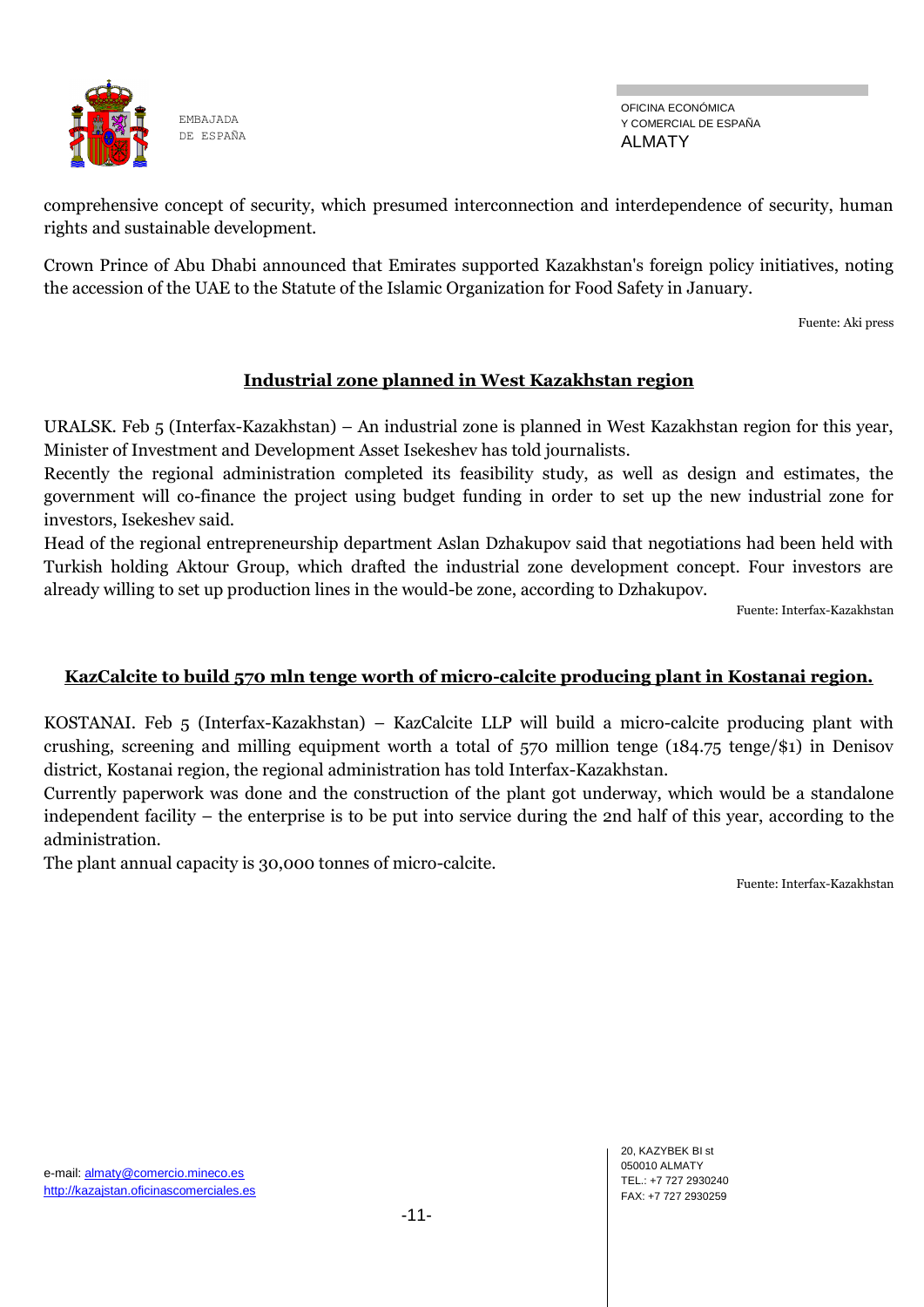

OFICINA ECONÓMICA Y COMERCIAL DE ESPAÑA ALMATY

comprehensive concept of security, which presumed interconnection and interdependence of security, human rights and sustainable development.

Crown Prince of Abu Dhabi announced that Emirates supported Kazakhstan's foreign policy initiatives, noting the accession of the UAE to the Statute of the Islamic Organization for Food Safety in January.

Fuente: Aki press

# **Industrial zone planned in West Kazakhstan region**

URALSK. Feb 5 (Interfax-Kazakhstan) – An industrial zone is planned in West Kazakhstan region for this year, Minister of Investment and Development Asset Isekeshev has told journalists.

Recently the regional administration completed its feasibility study, as well as design and estimates, the government will co-finance the project using budget funding in order to set up the new industrial zone for investors, Isekeshev said.

Head of the regional entrepreneurship department Aslan Dzhakupov said that negotiations had been held with Turkish holding Aktour Group, which drafted the industrial zone development concept. Four investors are already willing to set up production lines in the would-be zone, according to Dzhakupov.

Fuente: Interfax-Kazakhstan

## **KazCalcite to build 570 mln tenge worth of micro-calcite producing plant in Kostanai region.**

KOSTANAI. Feb 5 (Interfax-Kazakhstan) – KazCalcite LLP will build a micro-calcite producing plant with crushing, screening and milling equipment worth a total of 570 million tenge (184.75 tenge/\$1) in Denisov district, Kostanai region, the regional administration has told Interfax-Kazakhstan.

Currently paperwork was done and the construction of the plant got underway, which would be a standalone independent facility – the enterprise is to be put into service during the 2nd half of this year, according to the administration.

The plant annual capacity is 30,000 tonnes of micro-calcite.

Fuente: Interfax-Kazakhstan

20, KAZYBEK BI st 050010 ALMATY TEL.: +7 727 2930240 FAX: +7 727 2930259

e-mail: almaty@comercio.mineco.es http://kazajstan.oficinascomerciales.es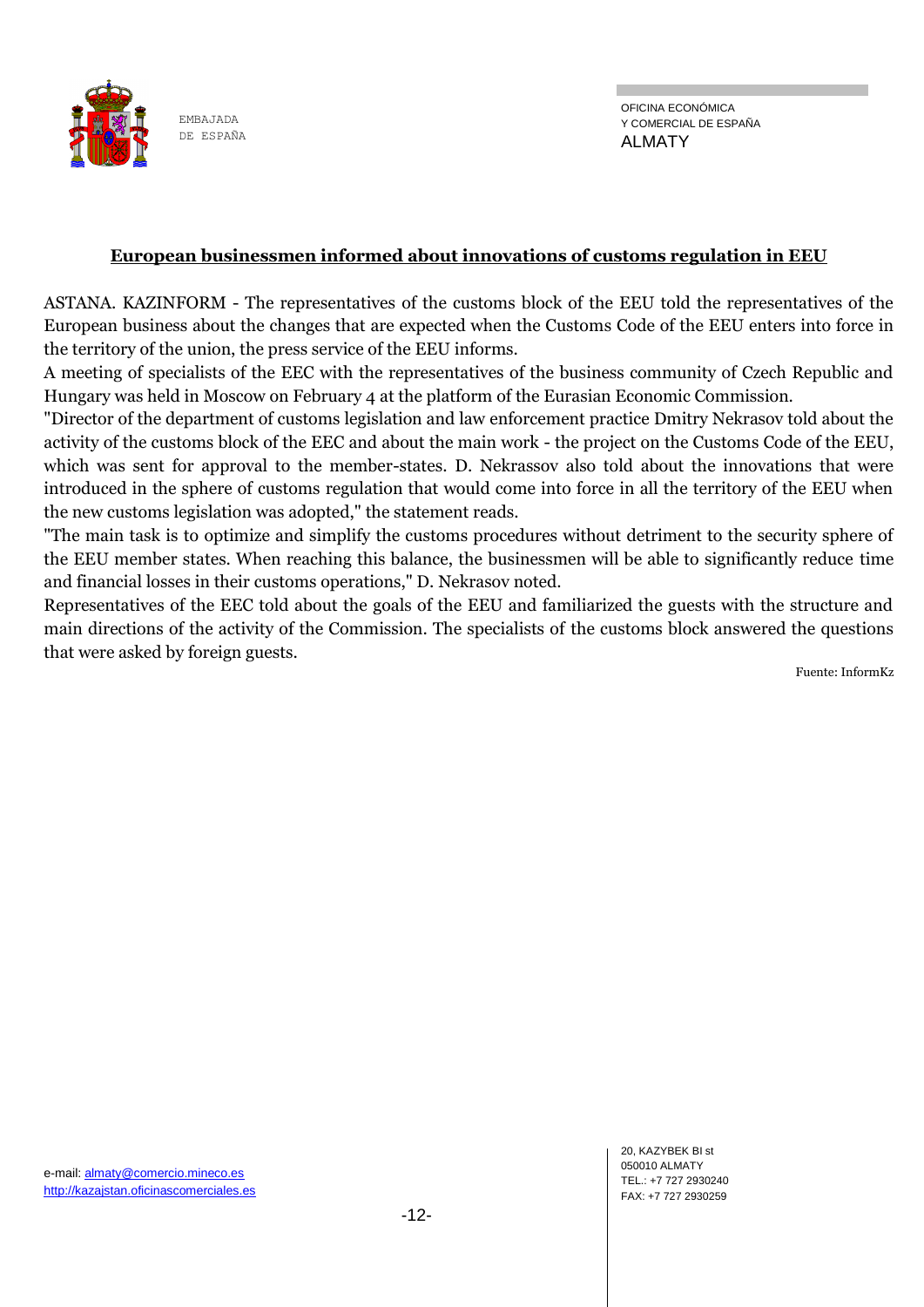

#### **European businessmen informed about innovations of customs regulation in EEU**

ASTANA. KAZINFORM - The representatives of the customs block of the EEU told the representatives of the European business about the changes that are expected when the Customs Code of the EEU enters into force in the territory of the union, the press service of the EEU informs.

A meeting of specialists of the EEC with the representatives of the business community of Czech Republic and Hungary was held in Moscow on February 4 at the platform of the Eurasian Economic Commission.

"Director of the department of customs legislation and law enforcement practice Dmitry Nekrasov told about the activity of the customs block of the EEC and about the main work - the project on the Customs Code of the EEU, which was sent for approval to the member-states. D. Nekrassov also told about the innovations that were introduced in the sphere of customs regulation that would come into force in all the territory of the EEU when the new customs legislation was adopted," the statement reads.

"The main task is to optimize and simplify the customs procedures without detriment to the security sphere of the EEU member states. When reaching this balance, the businessmen will be able to significantly reduce time and financial losses in their customs operations," D. Nekrasov noted.

Representatives of the EEC told about the goals of the EEU and familiarized the guests with the structure and main directions of the activity of the Commission. The specialists of the customs block answered the questions that were asked by foreign guests.

Fuente: InformKz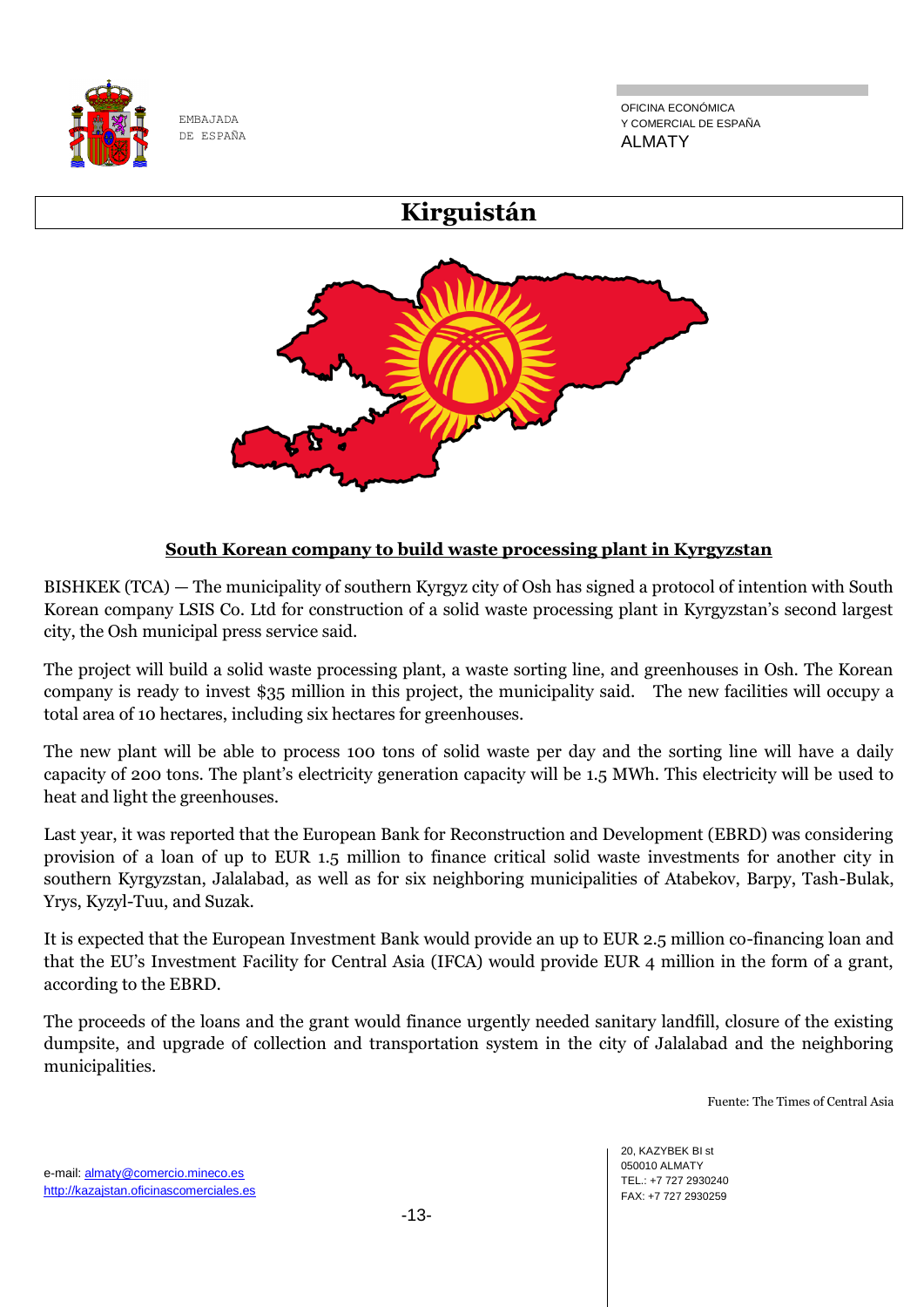

OFICINA ECONÓMICA Y COMERCIAL DE ESPAÑA ALMATY

# **Kirguistán**



# **South Korean company to build waste processing plant in Kyrgyzstan**

BISHKEK (TCA) — The municipality of southern Kyrgyz city of Osh has signed a protocol of intention with South Korean company LSIS Co. Ltd for construction of a solid waste processing plant in Kyrgyzstan's second largest city, the Osh municipal press service said.

The project will build a solid waste processing plant, a waste sorting line, and greenhouses in Osh. The Korean company is ready to invest \$35 million in this project, the municipality said. The new facilities will occupy a total area of 10 hectares, including six hectares for greenhouses.

The new plant will be able to process 100 tons of solid waste per day and the sorting line will have a daily capacity of 200 tons. The plant's electricity generation capacity will be 1.5 MWh. This electricity will be used to heat and light the greenhouses.

Last year, it was reported that the European Bank for Reconstruction and Development (EBRD) was considering provision of a loan of up to EUR 1.5 million to finance critical solid waste investments for another city in southern Kyrgyzstan, Jalalabad, as well as for six neighboring municipalities of Atabekov, Barpy, Tash-Bulak, Yrys, Kyzyl-Tuu, and Suzak.

It is expected that the European Investment Bank would provide an up to EUR 2.5 million co-financing loan and that the EU's Investment Facility for Central Asia (IFCA) would provide EUR 4 million in the form of a grant, according to the EBRD.

The proceeds of the loans and the grant would finance urgently needed sanitary landfill, closure of the existing dumpsite, and upgrade of collection and transportation system in the city of Jalalabad and the neighboring municipalities.

Fuente: The Times of Central Asia

20, KAZYBEK BI st 050010 ALMATY TEL.: +7 727 2930240 FAX: +7 727 2930259

e-mail: almaty@comercio.mineco.es http://kazajstan.oficinascomerciales.es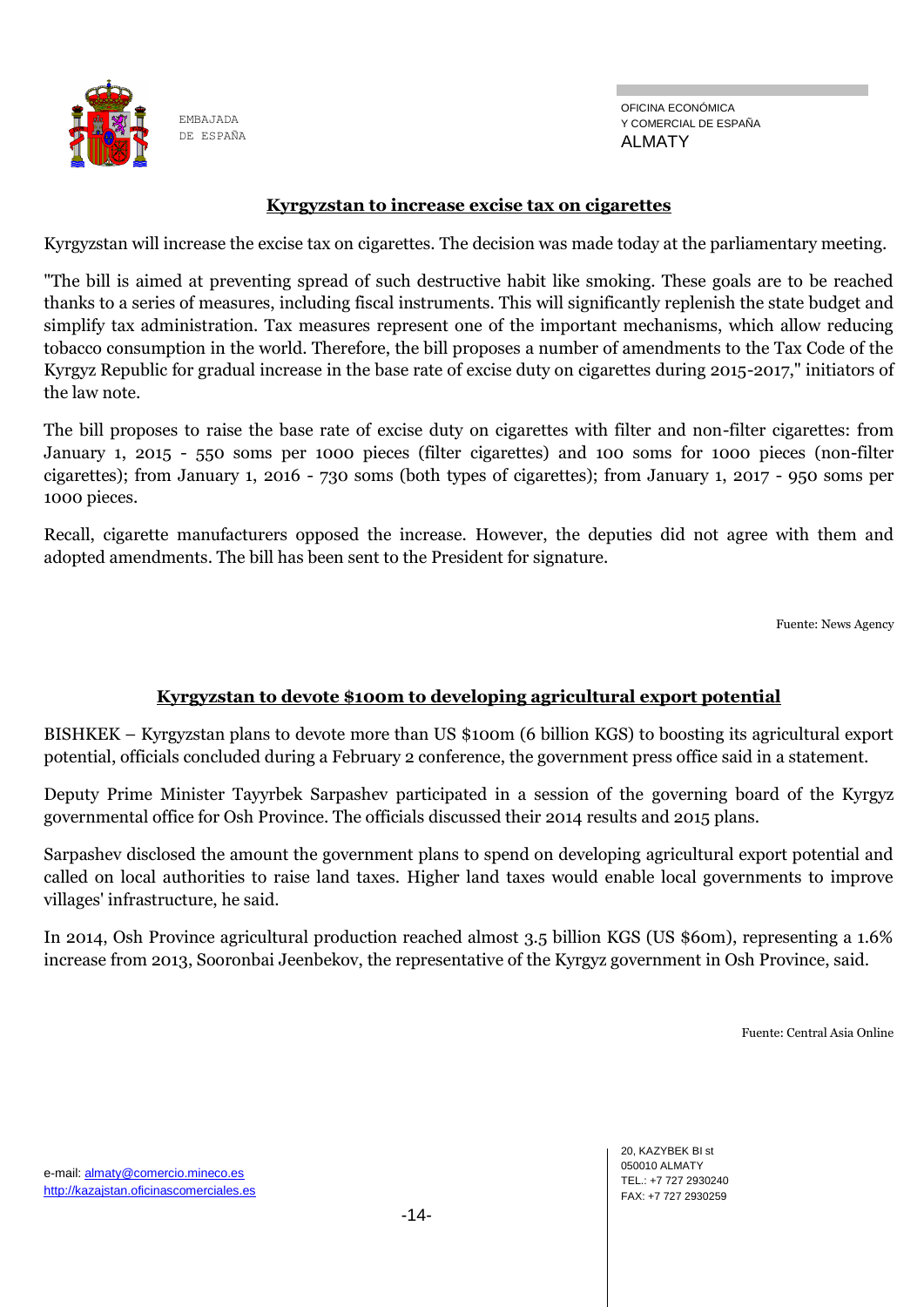

### **Kyrgyzstan to increase excise tax on cigarettes**

Kyrgyzstan will increase the excise tax on cigarettes. The decision was made today at the parliamentary meeting.

"The bill is aimed at preventing spread of such destructive habit like smoking. These goals are to be reached thanks to a series of measures, including fiscal instruments. This will significantly replenish the state budget and simplify tax administration. Tax measures represent one of the important mechanisms, which allow reducing tobacco consumption in the world. Therefore, the bill proposes a number of amendments to the Tax Code of the Kyrgyz Republic for gradual increase in the base rate of excise duty on cigarettes during 2015-2017," initiators of the law note.

The bill proposes to raise the base rate of excise duty on cigarettes with filter and non-filter cigarettes: from January 1, 2015 - 550 soms per 1000 pieces (filter cigarettes) and 100 soms for 1000 pieces (non-filter cigarettes); from January 1, 2016 - 730 soms (both types of cigarettes); from January 1, 2017 - 950 soms per 1000 pieces.

Recall, cigarette manufacturers opposed the increase. However, the deputies did not agree with them and adopted amendments. The bill has been sent to the President for signature.

Fuente: News Agency

#### **Kyrgyzstan to devote \$100m to developing agricultural export potential**

BISHKEK – Kyrgyzstan plans to devote more than US \$100m (6 billion KGS) to boosting its agricultural export potential, officials concluded during a February 2 conference, the government press office said in a statement.

Deputy Prime Minister Tayyrbek Sarpashev participated in a session of the governing board of the Kyrgyz governmental office for Osh Province. The officials discussed their 2014 results and 2015 plans.

Sarpashev disclosed the amount the government plans to spend on developing agricultural export potential and called on local authorities to raise land taxes. Higher land taxes would enable local governments to improve villages' infrastructure, he said.

In 2014, Osh Province agricultural production reached almost 3.5 billion KGS (US \$60m), representing a 1.6% increase from 2013, Sooronbai Jeenbekov, the representative of the Kyrgyz government in Osh Province, said.

Fuente: Central Asia Online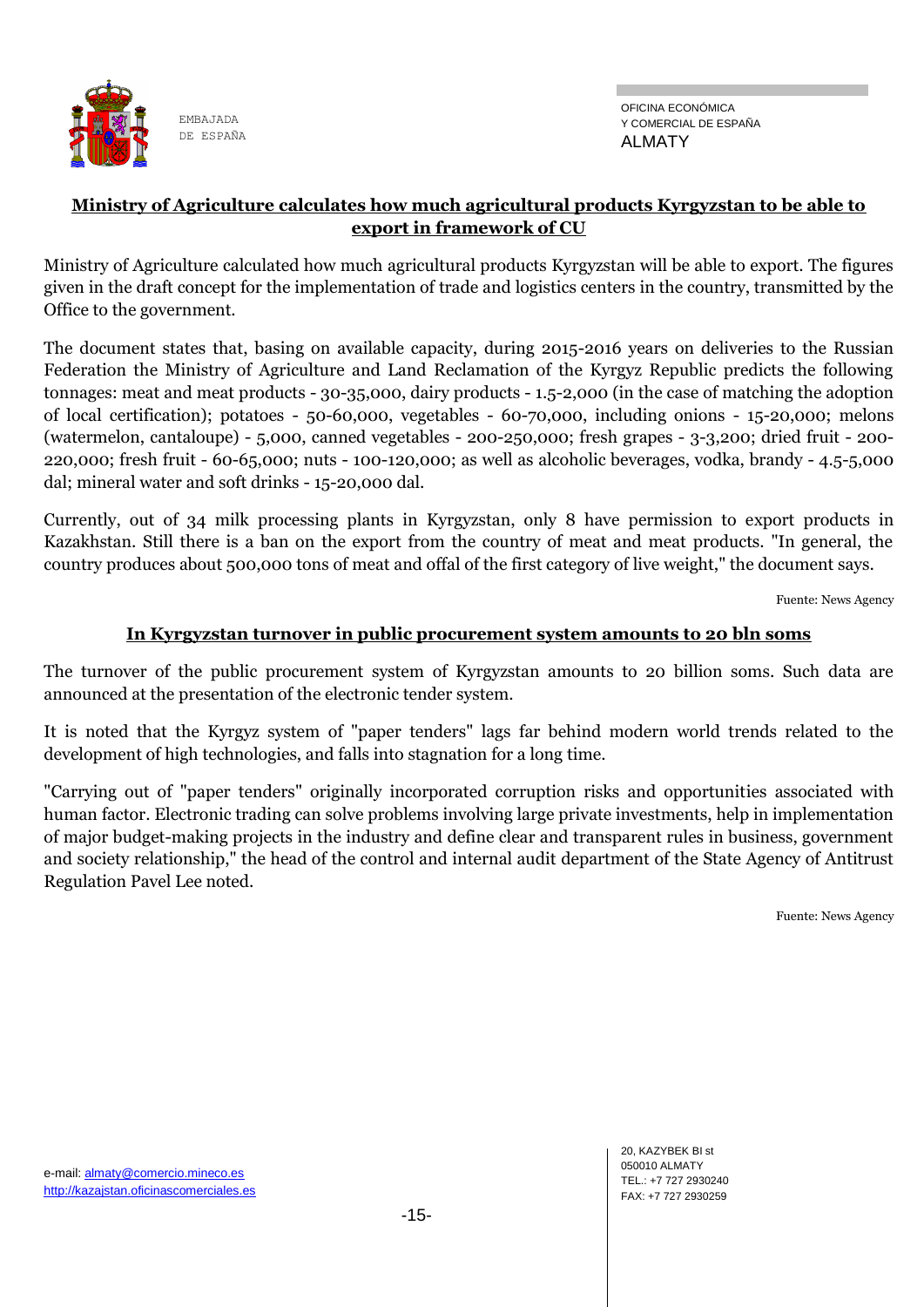

## **Ministry of Agriculture calculates how much agricultural products Kyrgyzstan to be able to export in framework of CU**

Ministry of Agriculture calculated how much agricultural products Kyrgyzstan will be able to export. The figures given in the draft concept for the implementation of trade and logistics centers in the country, transmitted by the Office to the government.

The document states that, basing on available capacity, during 2015-2016 years on deliveries to the Russian Federation the Ministry of Agriculture and Land Reclamation of the Kyrgyz Republic predicts the following tonnages: meat and meat products - 30-35,000, dairy products - 1.5-2,000 (in the case of matching the adoption of local certification); potatoes - 50-60,000, vegetables - 60-70,000, including onions - 15-20,000; melons (watermelon, cantaloupe) - 5,000, canned vegetables - 200-250,000; fresh grapes - 3-3,200; dried fruit - 200- 220,000; fresh fruit - 60-65,000; nuts - 100-120,000; as well as alcoholic beverages, vodka, brandy - 4.5-5,000 dal; mineral water and soft drinks - 15-20,000 dal.

Currently, out of 34 milk processing plants in Kyrgyzstan, only 8 have permission to export products in Kazakhstan. Still there is a ban on the export from the country of meat and meat products. "In general, the country produces about 500,000 tons of meat and offal of the first category of live weight," the document says.

Fuente: News Agency

#### **In Kyrgyzstan turnover in public procurement system amounts to 20 bln soms**

The turnover of the public procurement system of Kyrgyzstan amounts to 20 billion soms. Such data are announced at the presentation of the electronic tender system.

It is noted that the Kyrgyz system of "paper tenders" lags far behind modern world trends related to the development of high technologies, and falls into stagnation for a long time.

"Carrying out of "paper tenders" originally incorporated corruption risks and opportunities associated with human factor. Electronic trading can solve problems involving large private investments, help in implementation of major budget-making projects in the industry and define clear and transparent rules in business, government and society relationship," the head of the control and internal audit department of the State Agency of Antitrust Regulation Pavel Lee noted.

Fuente: News Agency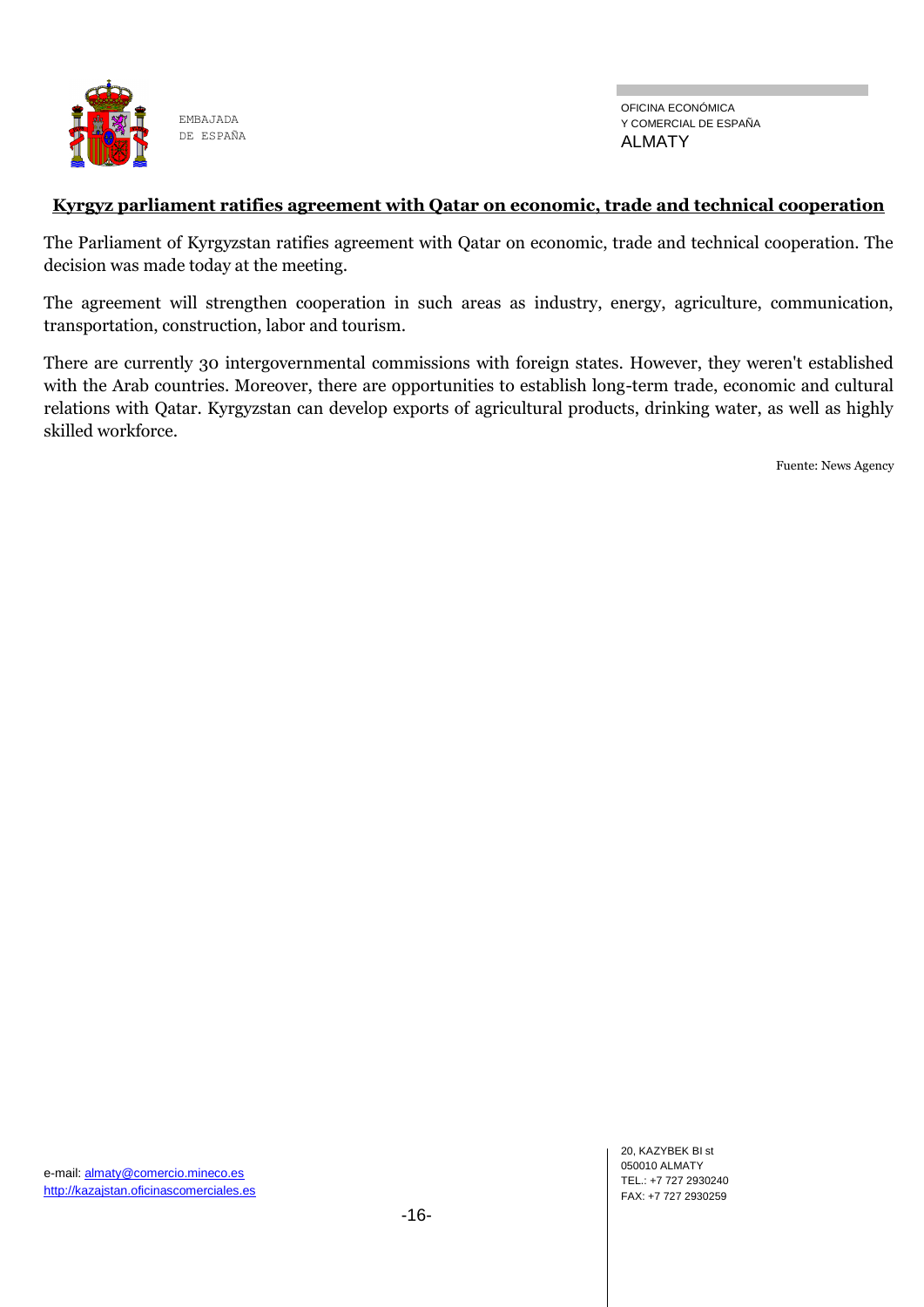

#### **Kyrgyz parliament ratifies agreement with Qatar on economic, trade and technical cooperation**

The Parliament of Kyrgyzstan ratifies agreement with Qatar on economic, trade and technical cooperation. The decision was made today at the meeting.

The agreement will strengthen cooperation in such areas as industry, energy, agriculture, communication, transportation, construction, labor and tourism.

There are currently 30 intergovernmental commissions with foreign states. However, they weren't established with the Arab countries. Moreover, there are opportunities to establish long-term trade, economic and cultural relations with Qatar. Kyrgyzstan can develop exports of agricultural products, drinking water, as well as highly skilled workforce.

Fuente: News Agency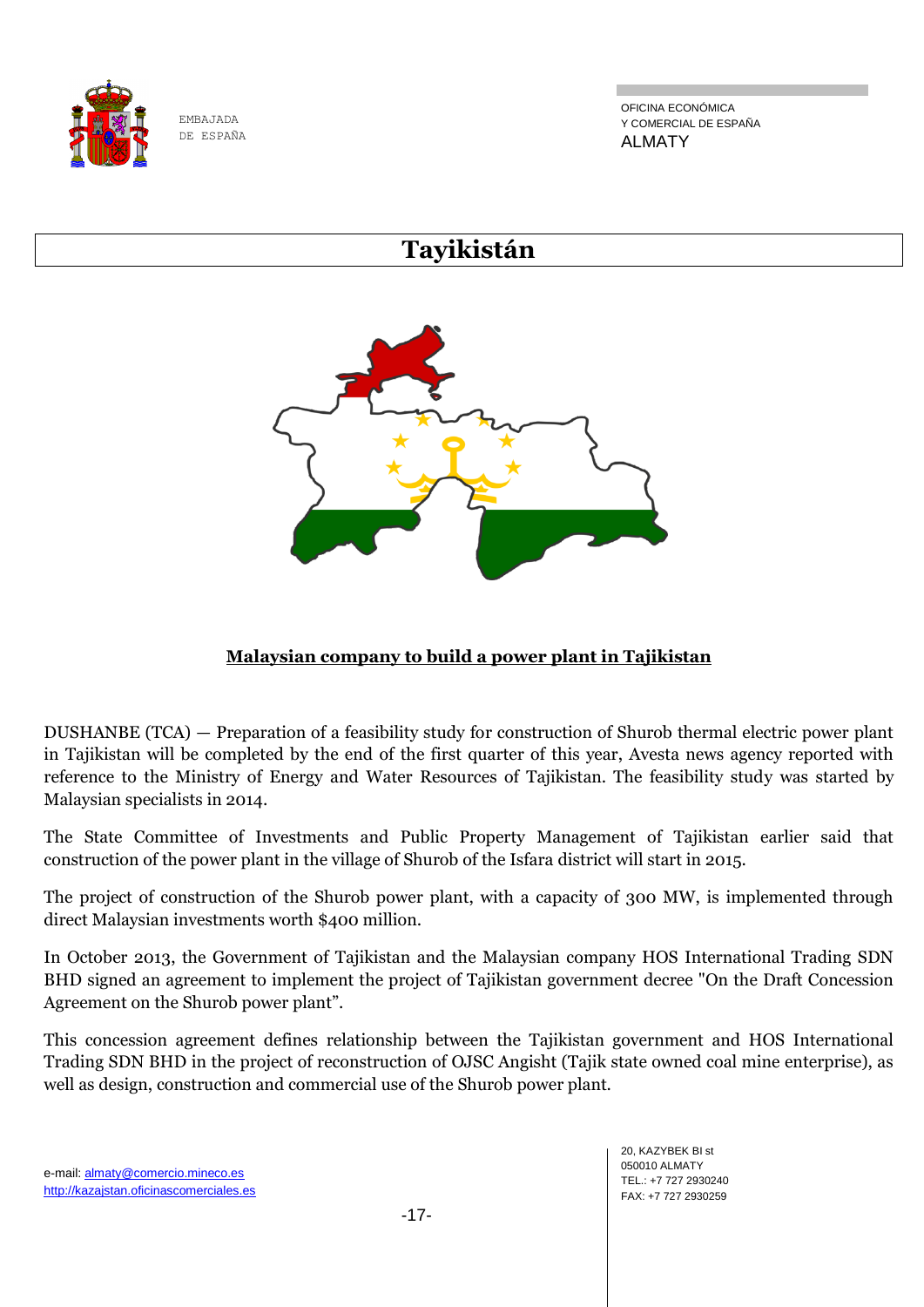

OFICINA ECONÓMICA Y COMERCIAL DE ESPAÑA ALMATY

# **Tayikistán**



# **Malaysian company to build a power plant in Tajikistan**

DUSHANBE (TCA) — Preparation of a feasibility study for construction of Shurob thermal electric power plant in Tajikistan will be completed by the end of the first quarter of this year, Avesta news agency reported with reference to the Ministry of Energy and Water Resources of Tajikistan. The feasibility study was started by Malaysian specialists in 2014.

The State Committee of Investments and Public Property Management of Tajikistan earlier said that construction of the power plant in the village of Shurob of the Isfara district will start in 2015.

The project of construction of the Shurob power plant, with a capacity of 300 MW, is implemented through direct Malaysian investments worth \$400 million.

In October 2013, the Government of Tajikistan and the Malaysian company HOS International Trading SDN BHD signed an agreement to implement the project of Tajikistan government decree "On the Draft Concession Agreement on the Shurob power plant".

This concession agreement defines relationship between the Tajikistan government and HOS International Trading SDN BHD in the project of reconstruction of OJSC Angisht (Tajik state owned coal mine enterprise), as well as design, construction and commercial use of the Shurob power plant.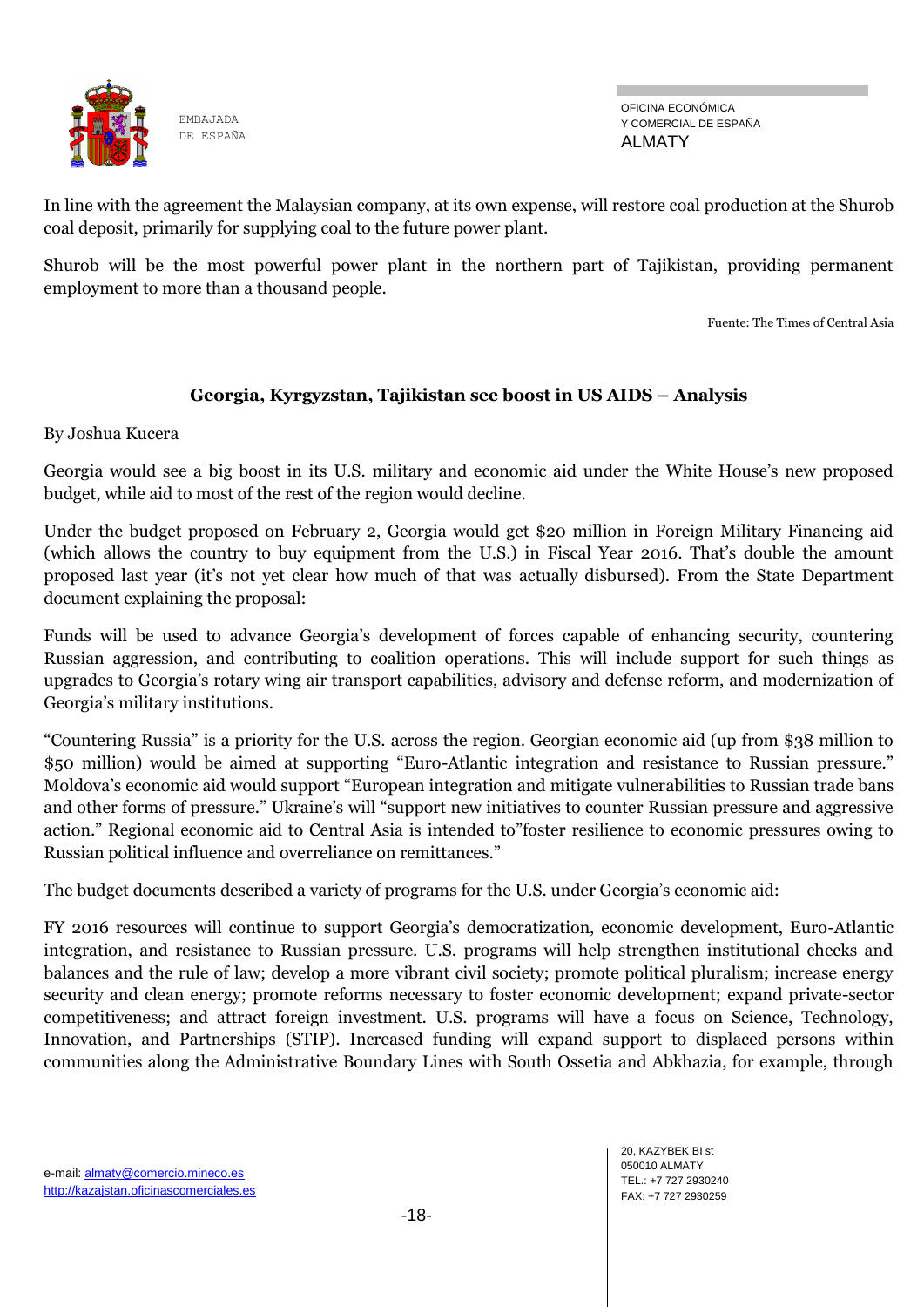

OFICINA ECONÓMICA Y COMERCIAL DE ESPAÑA ALMATY

In line with the agreement the Malaysian company, at its own expense, will restore coal production at the Shurob coal deposit, primarily for supplying coal to the future power plant.

Shurob will be the most powerful power plant in the northern part of Tajikistan, providing permanent employment to more than a thousand people.

Fuente: The Times of Central Asia

## **Georgia, Kyrgyzstan, Tajikistan see boost in US AIDS – Analysis**

By Joshua Kucera

Georgia would see a big boost in its U.S. military and economic aid under the White House's new proposed budget, while aid to most of the rest of the region would decline.

Under the budget proposed on February 2, Georgia would get \$20 million in Foreign Military Financing aid (which allows the country to buy equipment from the U.S.) in Fiscal Year 2016. That's double the amount proposed last year (it's not yet clear how much of that was actually disbursed). From the State Department document explaining the proposal:

Funds will be used to advance Georgia's development of forces capable of enhancing security, countering Russian aggression, and contributing to coalition operations. This will include support for such things as upgrades to Georgia's rotary wing air transport capabilities, advisory and defense reform, and modernization of Georgia's military institutions.

"Countering Russia" is a priority for the U.S. across the region. Georgian economic aid (up from \$38 million to \$50 million) would be aimed at supporting "Euro-Atlantic integration and resistance to Russian pressure." Moldova's economic aid would support "European integration and mitigate vulnerabilities to Russian trade bans and other forms of pressure." Ukraine's will "support new initiatives to counter Russian pressure and aggressive action." Regional economic aid to Central Asia is intended to"foster resilience to economic pressures owing to Russian political influence and overreliance on remittances."

The budget documents described a variety of programs for the U.S. under Georgia's economic aid:

FY 2016 resources will continue to support Georgia's democratization, economic development, Euro-Atlantic integration, and resistance to Russian pressure. U.S. programs will help strengthen institutional checks and balances and the rule of law; develop a more vibrant civil society; promote political pluralism; increase energy security and clean energy; promote reforms necessary to foster economic development; expand private-sector competitiveness; and attract foreign investment. U.S. programs will have a focus on Science, Technology, Innovation, and Partnerships (STIP). Increased funding will expand support to displaced persons within communities along the Administrative Boundary Lines with South Ossetia and Abkhazia, for example, through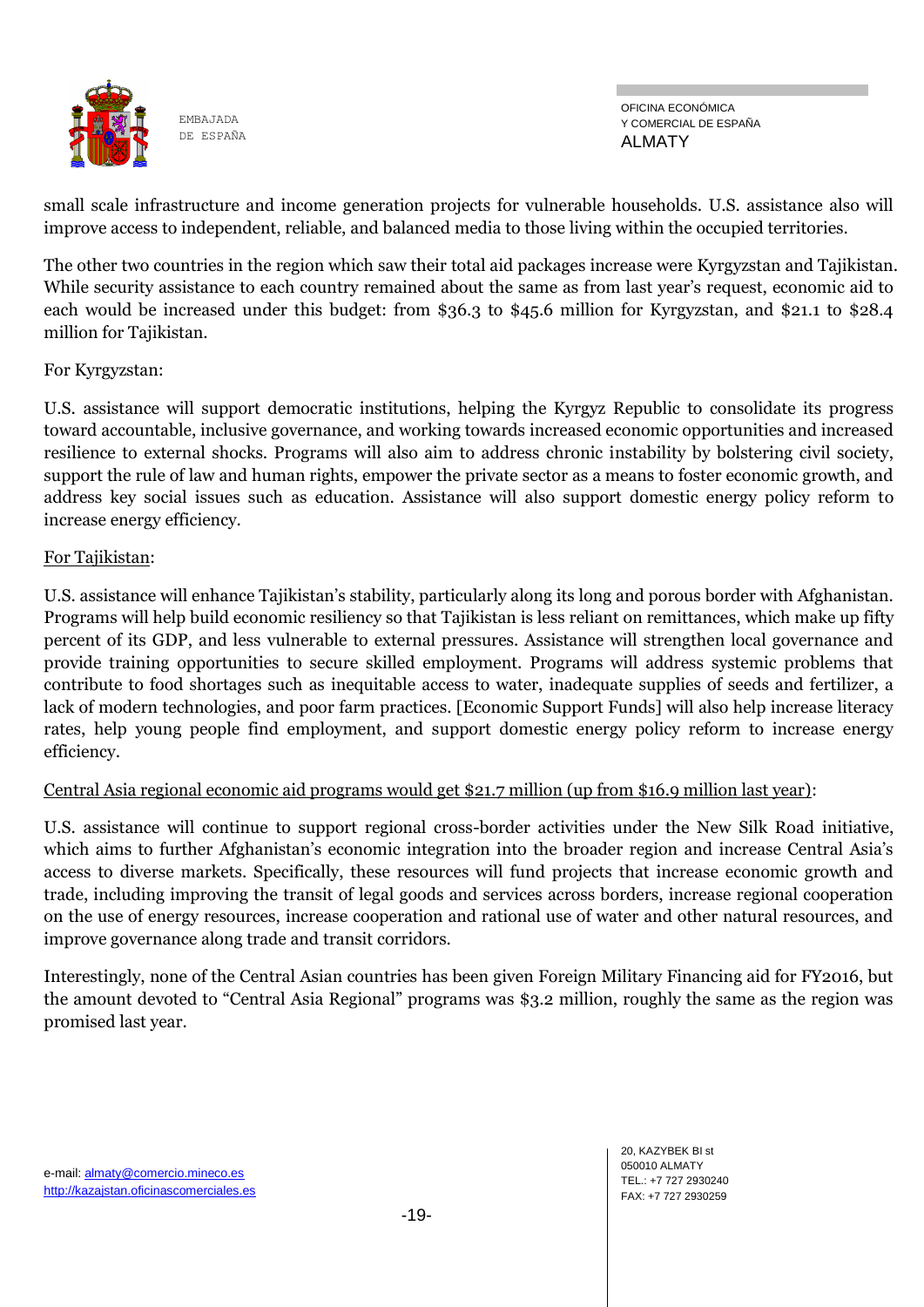

small scale infrastructure and income generation projects for vulnerable households. U.S. assistance also will improve access to independent, reliable, and balanced media to those living within the occupied territories.

The other two countries in the region which saw their total aid packages increase were Kyrgyzstan and Tajikistan. While security assistance to each country remained about the same as from last year's request, economic aid to each would be increased under this budget: from \$36.3 to \$45.6 million for Kyrgyzstan, and \$21.1 to \$28.4 million for Tajikistan.

## For Kyrgyzstan:

U.S. assistance will support democratic institutions, helping the Kyrgyz Republic to consolidate its progress toward accountable, inclusive governance, and working towards increased economic opportunities and increased resilience to external shocks. Programs will also aim to address chronic instability by bolstering civil society, support the rule of law and human rights, empower the private sector as a means to foster economic growth, and address key social issues such as education. Assistance will also support domestic energy policy reform to increase energy efficiency.

#### For Tajikistan:

U.S. assistance will enhance Tajikistan's stability, particularly along its long and porous border with Afghanistan. Programs will help build economic resiliency so that Tajikistan is less reliant on remittances, which make up fifty percent of its GDP, and less vulnerable to external pressures. Assistance will strengthen local governance and provide training opportunities to secure skilled employment. Programs will address systemic problems that contribute to food shortages such as inequitable access to water, inadequate supplies of seeds and fertilizer, a lack of modern technologies, and poor farm practices. [Economic Support Funds] will also help increase literacy rates, help young people find employment, and support domestic energy policy reform to increase energy efficiency.

## Central Asia regional economic aid programs would get \$21.7 million (up from \$16.9 million last year):

U.S. assistance will continue to support regional cross-border activities under the New Silk Road initiative, which aims to further Afghanistan's economic integration into the broader region and increase Central Asia's access to diverse markets. Specifically, these resources will fund projects that increase economic growth and trade, including improving the transit of legal goods and services across borders, increase regional cooperation on the use of energy resources, increase cooperation and rational use of water and other natural resources, and improve governance along trade and transit corridors.

Interestingly, none of the Central Asian countries has been given Foreign Military Financing aid for FY2016, but the amount devoted to "Central Asia Regional" programs was \$3.2 million, roughly the same as the region was promised last year.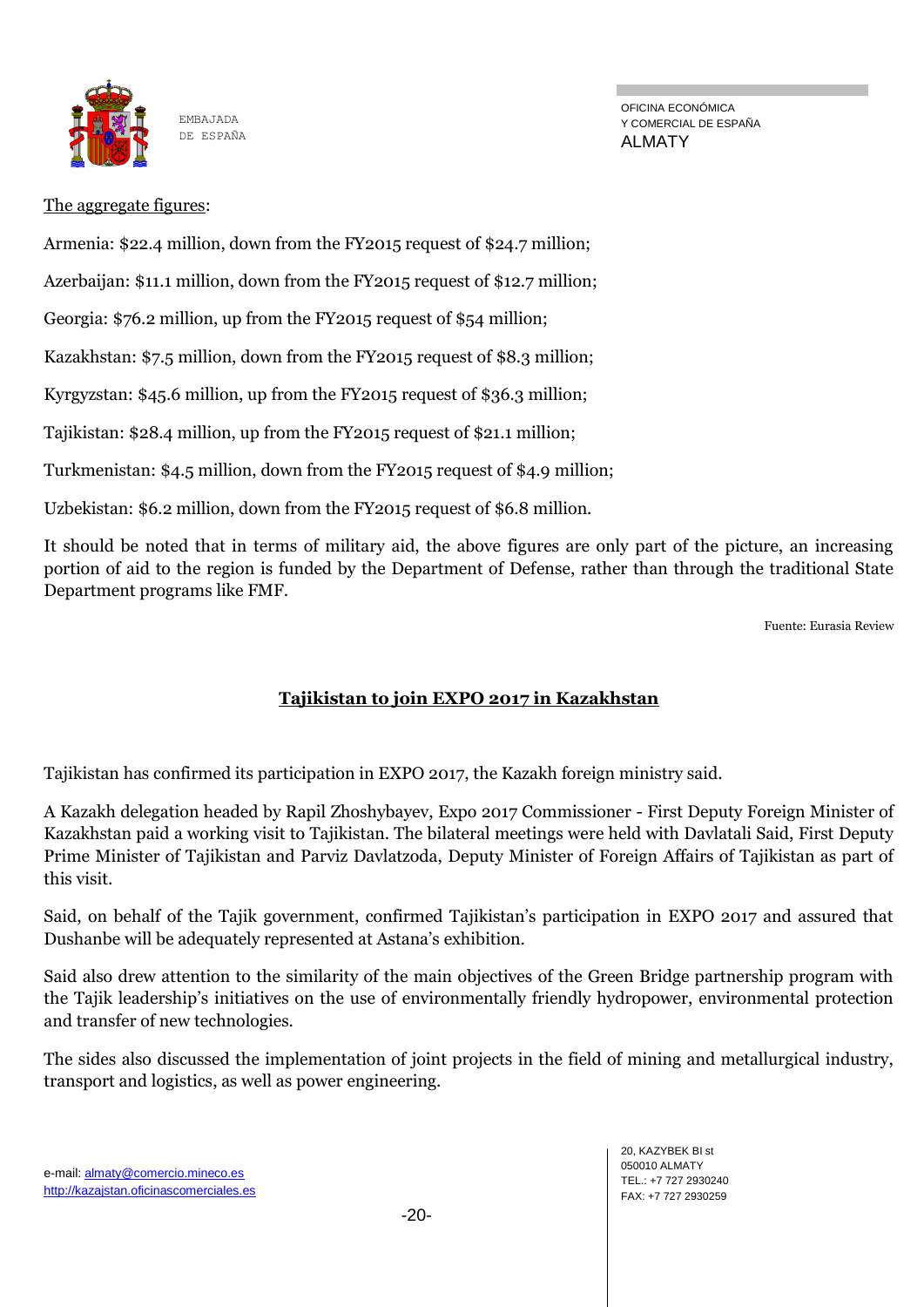

OFICINA ECONÓMICA Y COMERCIAL DE ESPAÑA ALMATY

## The aggregate figures:

Armenia: \$22.4 million, down from the FY2015 request of \$24.7 million;

Azerbaijan: \$11.1 million, down from the FY2015 request of \$12.7 million;

Georgia: \$76.2 million, up from the FY2015 request of \$54 million;

Kazakhstan: \$7.5 million, down from the FY2015 request of \$8.3 million;

Kyrgyzstan: \$45.6 million, up from the FY2015 request of \$36.3 million;

Tajikistan: \$28.4 million, up from the FY2015 request of \$21.1 million;

Turkmenistan: \$4.5 million, down from the FY2015 request of \$4.9 million;

Uzbekistan: \$6.2 million, down from the FY2015 request of \$6.8 million.

It should be noted that in terms of military aid, the above figures are only part of the picture, an increasing portion of aid to the region is funded by the Department of Defense, rather than through the traditional State Department programs like FMF.

Fuente: Eurasia Review

# **Tajikistan to join EXPO 2017 in Kazakhstan**

Tajikistan has confirmed its participation in EXPO 2017, the Kazakh foreign ministry said.

A Kazakh delegation headed by Rapil Zhoshybayev, Expo 2017 Commissioner - First Deputy Foreign Minister of Kazakhstan paid a working visit to Tajikistan. The bilateral meetings were held with Davlatali Said, First Deputy Prime Minister of Tajikistan and Parviz Davlatzoda, Deputy Minister of Foreign Affairs of Tajikistan as part of this visit.

Said, on behalf of the Tajik government, confirmed Tajikistan's participation in EXPO 2017 and assured that Dushanbe will be adequately represented at Astana's exhibition.

Said also drew attention to the similarity of the main objectives of the Green Bridge partnership program with the Tajik leadership's initiatives on the use of environmentally friendly hydropower, environmental protection and transfer of new technologies.

The sides also discussed the implementation of joint projects in the field of mining and metallurgical industry, transport and logistics, as well as power engineering.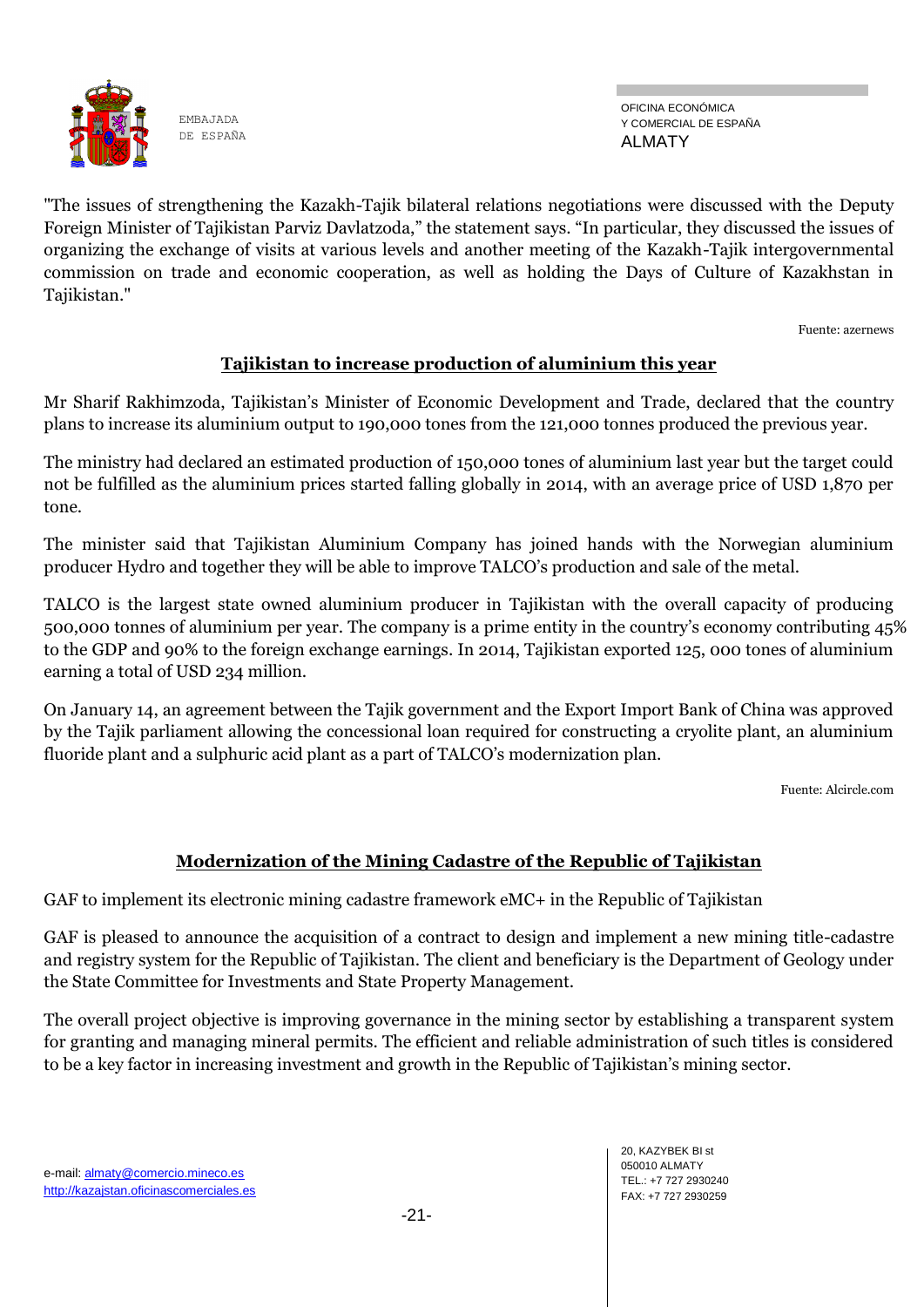

OFICINA ECONÓMICA Y COMERCIAL DE ESPAÑA ALMATY

"The issues of strengthening the Kazakh-Tajik bilateral relations negotiations were discussed with the Deputy Foreign Minister of Tajikistan Parviz Davlatzoda," the statement says. "In particular, they discussed the issues of organizing the exchange of visits at various levels and another meeting of the Kazakh-Tajik intergovernmental commission on trade and economic cooperation, as well as holding the Days of Culture of Kazakhstan in Tajikistan."

Fuente: azernews

## **Tajikistan to increase production of aluminium this year**

Mr Sharif Rakhimzoda, Tajikistan's Minister of Economic Development and Trade, declared that the country plans to increase its aluminium output to 190,000 tones from the 121,000 tonnes produced the previous year.

The ministry had declared an estimated production of 150,000 tones of aluminium last year but the target could not be fulfilled as the aluminium prices started falling globally in 2014, with an average price of USD 1,870 per tone.

The minister said that Tajikistan Aluminium Company has joined hands with the Norwegian aluminium producer Hydro and together they will be able to improve TALCO's production and sale of the metal.

TALCO is the largest state owned aluminium producer in Tajikistan with the overall capacity of producing 500,000 tonnes of aluminium per year. The company is a prime entity in the country's economy contributing 45% to the GDP and 90% to the foreign exchange earnings. In 2014, Tajikistan exported 125, 000 tones of aluminium earning a total of USD 234 million.

On January 14, an agreement between the Tajik government and the Export Import Bank of China was approved by the Tajik parliament allowing the concessional loan required for constructing a cryolite plant, an aluminium fluoride plant and a sulphuric acid plant as a part of TALCO's modernization plan.

Fuente: Alcircle.com

## **Modernization of the Mining Cadastre of the Republic of Tajikistan**

GAF to implement its electronic mining cadastre framework eMC+ in the Republic of Tajikistan

GAF is pleased to announce the acquisition of a contract to design and implement a new mining title-cadastre and registry system for the Republic of Tajikistan. The client and beneficiary is the Department of Geology under the State Committee for Investments and State Property Management.

The overall project objective is improving governance in the mining sector by establishing a transparent system for granting and managing mineral permits. The efficient and reliable administration of such titles is considered to be a key factor in increasing investment and growth in the Republic of Tajikistan's mining sector.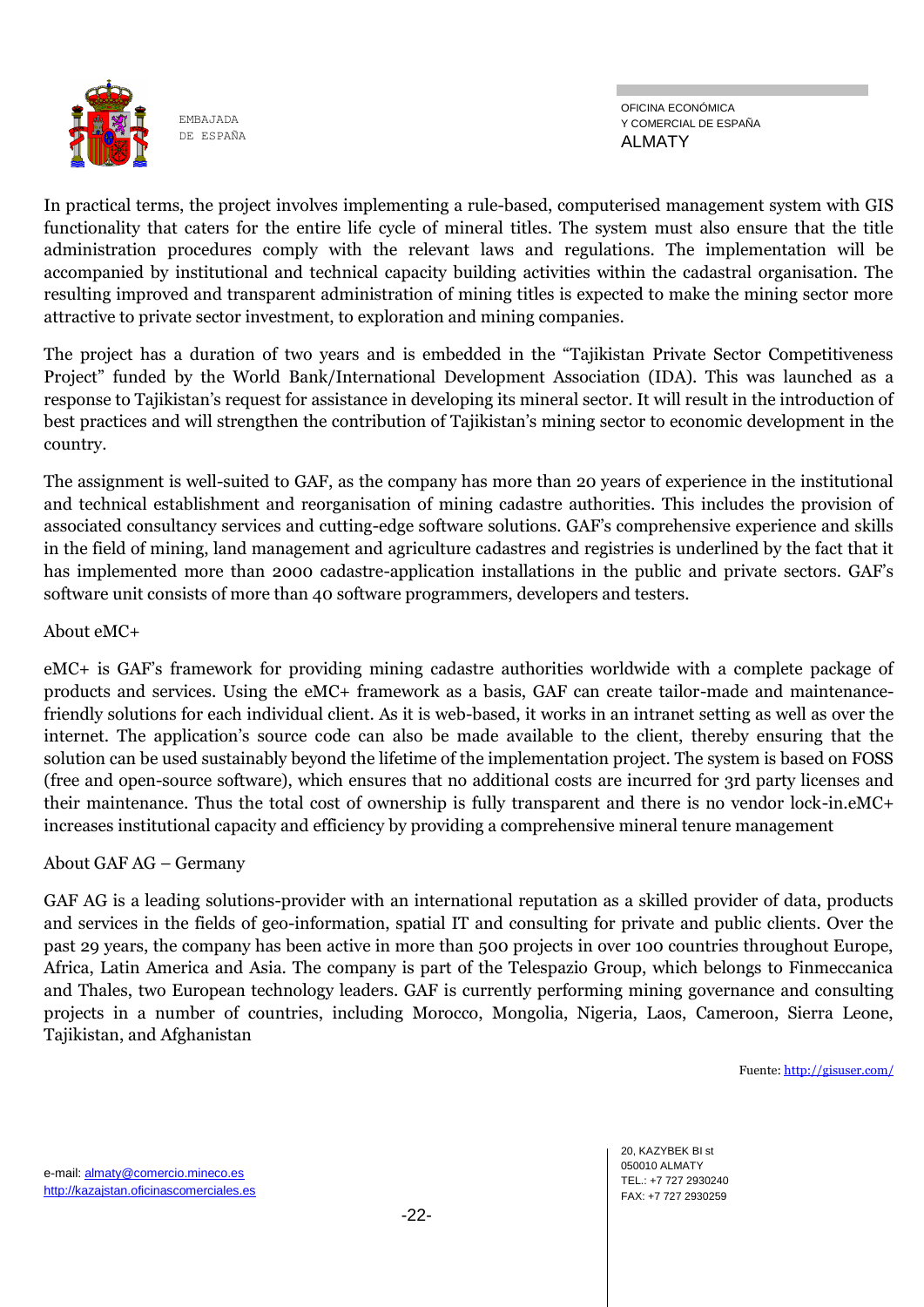

OFICINA ECONÓMICA Y COMERCIAL DE ESPAÑA ALMATY

In practical terms, the project involves implementing a rule-based, computerised management system with GIS functionality that caters for the entire life cycle of mineral titles. The system must also ensure that the title administration procedures comply with the relevant laws and regulations. The implementation will be accompanied by institutional and technical capacity building activities within the cadastral organisation. The resulting improved and transparent administration of mining titles is expected to make the mining sector more attractive to private sector investment, to exploration and mining companies.

The project has a duration of two years and is embedded in the "Tajikistan Private Sector Competitiveness Project" funded by the World Bank/International Development Association (IDA). This was launched as a response to Tajikistan's request for assistance in developing its mineral sector. It will result in the introduction of best practices and will strengthen the contribution of Tajikistan's mining sector to economic development in the country.

The assignment is well-suited to GAF, as the company has more than 20 years of experience in the institutional and technical establishment and reorganisation of mining cadastre authorities. This includes the provision of associated consultancy services and cutting-edge software solutions. GAF's comprehensive experience and skills in the field of mining, land management and agriculture cadastres and registries is underlined by the fact that it has implemented more than 2000 cadastre-application installations in the public and private sectors. GAF's software unit consists of more than 40 software programmers, developers and testers.

## About eMC+

eMC+ is GAF's framework for providing mining cadastre authorities worldwide with a complete package of products and services. Using the eMC+ framework as a basis, GAF can create tailor-made and maintenancefriendly solutions for each individual client. As it is web-based, it works in an intranet setting as well as over the internet. The application's source code can also be made available to the client, thereby ensuring that the solution can be used sustainably beyond the lifetime of the implementation project. The system is based on FOSS (free and open-source software), which ensures that no additional costs are incurred for 3rd party licenses and their maintenance. Thus the total cost of ownership is fully transparent and there is no vendor lock-in.eMC+ increases institutional capacity and efficiency by providing a comprehensive mineral tenure management

## About GAF AG – Germany

GAF AG is a leading solutions-provider with an international reputation as a skilled provider of data, products and services in the fields of geo-information, spatial IT and consulting for private and public clients. Over the past 29 years, the company has been active in more than 500 projects in over 100 countries throughout Europe, Africa, Latin America and Asia. The company is part of the Telespazio Group, which belongs to Finmeccanica and Thales, two European technology leaders. GAF is currently performing mining governance and consulting projects in a number of countries, including Morocco, Mongolia, Nigeria, Laos, Cameroon, Sierra Leone, Tajikistan, and Afghanistan

Fuente[: http://gisuser.com/](http://gisuser.com/)

20, KAZYBEK BI st 050010 ALMATY TEL.: +7 727 2930240 FAX: +7 727 2930259

e-mail: almaty@comercio.mineco.es http://kazajstan.oficinascomerciales.es